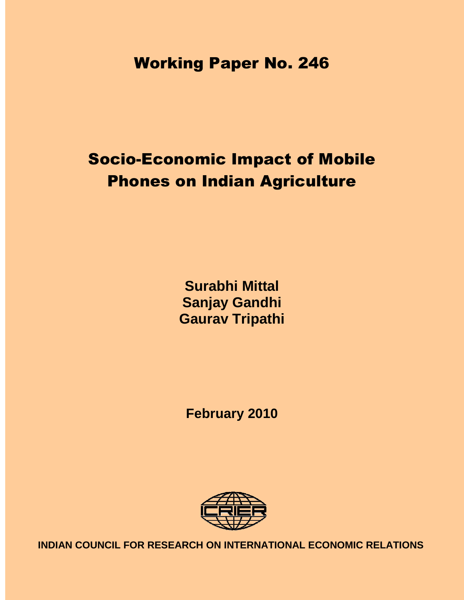Working Paper No. 246

# Socio-Economic Impact of Mobile Phones on Indian Agriculture

**Surabhi Mittal Sanjay Gandhi Gaurav Tripathi**

**February 2010** 



**INDIAN COUNCIL FOR RESEARCH ON INTERNATIONAL ECONOMIC RELATIONS**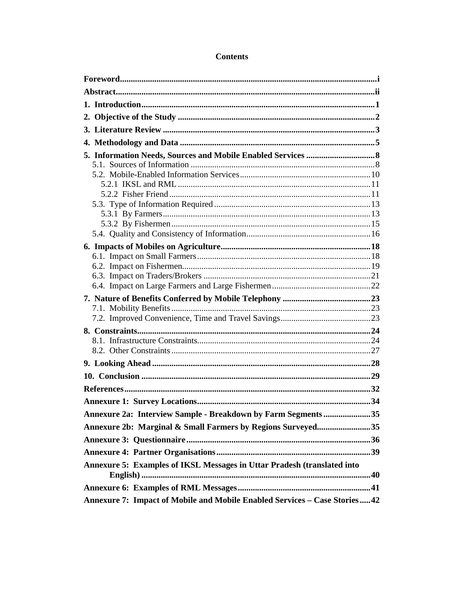| Annexure 2a: Interview Sample - Breakdown by Farm Segments 35           |  |  |  |  |
|-------------------------------------------------------------------------|--|--|--|--|
| Annexure 2b: Marginal & Small Farmers by Regions Surveyed35             |  |  |  |  |
|                                                                         |  |  |  |  |
|                                                                         |  |  |  |  |
| Annexure 5: Examples of IKSL Messages in Uttar Pradesh (translated into |  |  |  |  |
|                                                                         |  |  |  |  |

# **Contents**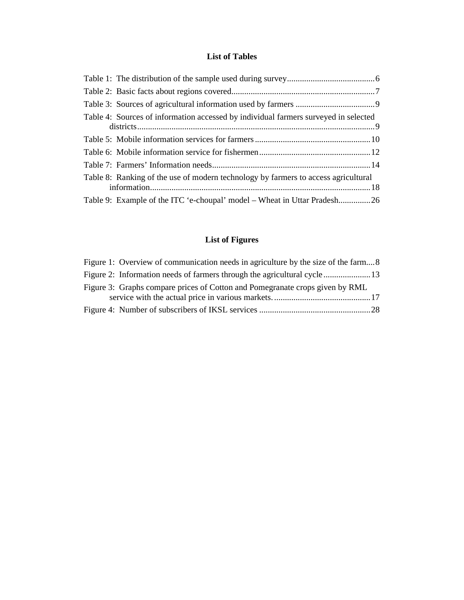# **List of Tables**

| Table 4: Sources of information accessed by individual farmers surveyed in selected |
|-------------------------------------------------------------------------------------|
|                                                                                     |
|                                                                                     |
|                                                                                     |
| Table 8: Ranking of the use of modern technology by farmers to access agricultural  |
| Table 9: Example of the ITC 'e-choupal' model – Wheat in Uttar Pradesh26            |

# **List of Figures**

| Figure 1: Overview of communication needs in agriculture by the size of the farm8 |  |
|-----------------------------------------------------------------------------------|--|
| Figure 2: Information needs of farmers through the agricultural cycle 13          |  |
| Figure 3: Graphs compare prices of Cotton and Pomegranate crops given by RML      |  |
|                                                                                   |  |
|                                                                                   |  |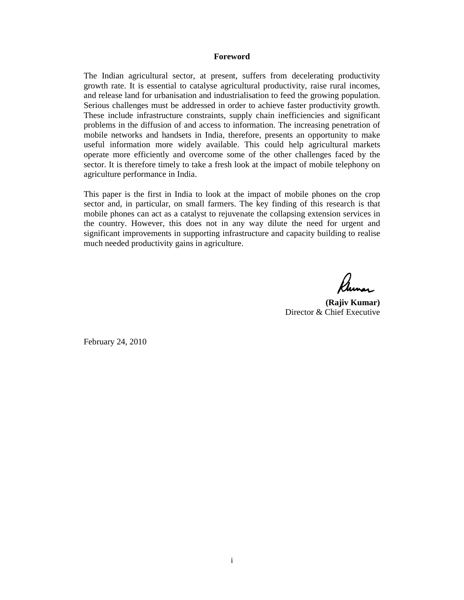#### **Foreword**

The Indian agricultural sector, at present, suffers from decelerating productivity growth rate. It is essential to catalyse agricultural productivity, raise rural incomes, and release land for urbanisation and industrialisation to feed the growing population. Serious challenges must be addressed in order to achieve faster productivity growth. These include infrastructure constraints, supply chain inefficiencies and significant problems in the diffusion of and access to information. The increasing penetration of mobile networks and handsets in India, therefore, presents an opportunity to make useful information more widely available. This could help agricultural markets operate more efficiently and overcome some of the other challenges faced by the sector. It is therefore timely to take a fresh look at the impact of mobile telephony on agriculture performance in India.

This paper is the first in India to look at the impact of mobile phones on the crop sector and, in particular, on small farmers. The key finding of this research is that mobile phones can act as a catalyst to rejuvenate the collapsing extension services in the country. However, this does not in any way dilute the need for urgent and significant improvements in supporting infrastructure and capacity building to realise much needed productivity gains in agriculture.

**(Rajiv Kumar)** Director & Chief Executive

February 24, 2010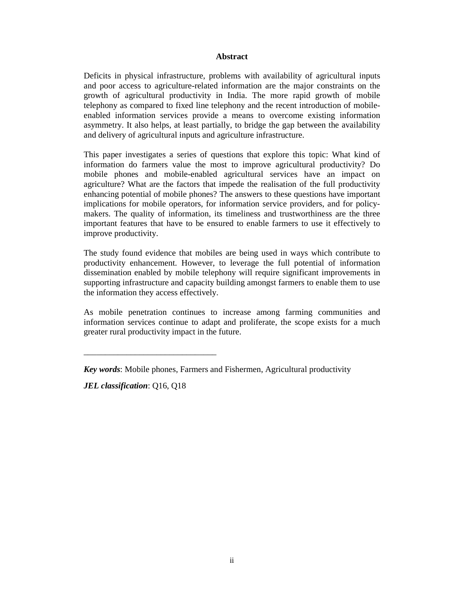#### **Abstract**

Deficits in physical infrastructure, problems with availability of agricultural inputs and poor access to agriculture-related information are the major constraints on the growth of agricultural productivity in India. The more rapid growth of mobile telephony as compared to fixed line telephony and the recent introduction of mobileenabled information services provide a means to overcome existing information asymmetry. It also helps, at least partially, to bridge the gap between the availability and delivery of agricultural inputs and agriculture infrastructure.

This paper investigates a series of questions that explore this topic: What kind of information do farmers value the most to improve agricultural productivity? Do mobile phones and mobile-enabled agricultural services have an impact on agriculture? What are the factors that impede the realisation of the full productivity enhancing potential of mobile phones? The answers to these questions have important implications for mobile operators, for information service providers, and for policymakers. The quality of information, its timeliness and trustworthiness are the three important features that have to be ensured to enable farmers to use it effectively to improve productivity.

The study found evidence that mobiles are being used in ways which contribute to productivity enhancement. However, to leverage the full potential of information dissemination enabled by mobile telephony will require significant improvements in supporting infrastructure and capacity building amongst farmers to enable them to use the information they access effectively.

As mobile penetration continues to increase among farming communities and information services continue to adapt and proliferate, the scope exists for a much greater rural productivity impact in the future.

*JEL classification*: Q16, Q18

\_\_\_\_\_\_\_\_\_\_\_\_\_\_\_\_\_\_\_\_\_\_\_\_\_\_\_\_\_\_\_

*Key words*: Mobile phones, Farmers and Fishermen, Agricultural productivity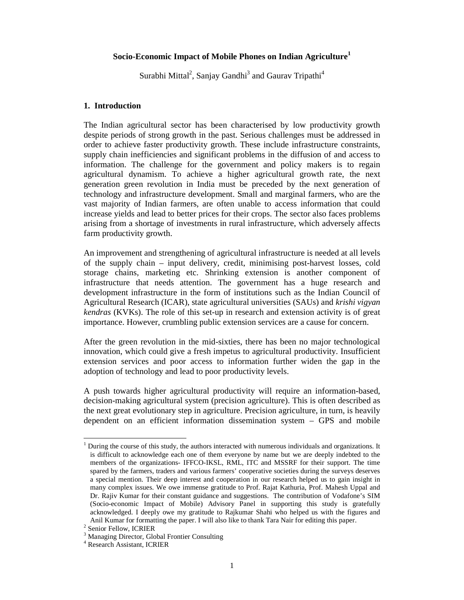#### **Socio-Economic Impact of Mobile Phones on Indian Agriculture<sup>1</sup>**

Surabhi Mittal<sup>2</sup>, Sanjay Gandhi<sup>3</sup> and Gaurav Tripathi<sup>4</sup>

#### **1. Introduction**

The Indian agricultural sector has been characterised by low productivity growth despite periods of strong growth in the past. Serious challenges must be addressed in order to achieve faster productivity growth. These include infrastructure constraints, supply chain inefficiencies and significant problems in the diffusion of and access to information. The challenge for the government and policy makers is to regain agricultural dynamism. To achieve a higher agricultural growth rate, the next generation green revolution in India must be preceded by the next generation of technology and infrastructure development. Small and marginal farmers, who are the vast majority of Indian farmers, are often unable to access information that could increase yields and lead to better prices for their crops. The sector also faces problems arising from a shortage of investments in rural infrastructure, which adversely affects farm productivity growth.

An improvement and strengthening of agricultural infrastructure is needed at all levels of the supply chain – input delivery, credit, minimising post-harvest losses, cold storage chains, marketing etc. Shrinking extension is another component of infrastructure that needs attention. The government has a huge research and development infrastructure in the form of institutions such as the Indian Council of Agricultural Research (ICAR), state agricultural universities (SAUs) and *krishi vigyan kendras* (KVKs). The role of this set-up in research and extension activity is of great importance. However, crumbling public extension services are a cause for concern.

After the green revolution in the mid-sixties, there has been no major technological innovation, which could give a fresh impetus to agricultural productivity. Insufficient extension services and poor access to information further widen the gap in the adoption of technology and lead to poor productivity levels.

A push towards higher agricultural productivity will require an information-based, decision-making agricultural system (precision agriculture). This is often described as the next great evolutionary step in agriculture. Precision agriculture, in turn, is heavily dependent on an efficient information dissemination system – GPS and mobile

-

 $<sup>1</sup>$  During the course of this study, the authors interacted with numerous individuals and organizations. It</sup> is difficult to acknowledge each one of them everyone by name but we are deeply indebted to the members of the organizations- IFFCO-IKSL, RML, ITC and MSSRF for their support. The time spared by the farmers, traders and various farmers' cooperative societies during the surveys deserves a special mention. Their deep interest and cooperation in our research helped us to gain insight in many complex issues. We owe immense gratitude to Prof. Rajat Kathuria, Prof. Mahesh Uppal and Dr. Rajiv Kumar for their constant guidance and suggestions. The contribution of Vodafone's SIM (Socio-economic Impact of Mobile) Advisory Panel in supporting this study is gratefully acknowledged. I deeply owe my gratitude to Rajkumar Shahi who helped us with the figures and Anil Kumar for formatting the paper. I will also like to thank Tara Nair for editing this paper.

<sup>2</sup> Senior Fellow, ICRIER

<sup>&</sup>lt;sup>3</sup> Managing Director, Global Frontier Consulting

<sup>4</sup> Research Assistant, ICRIER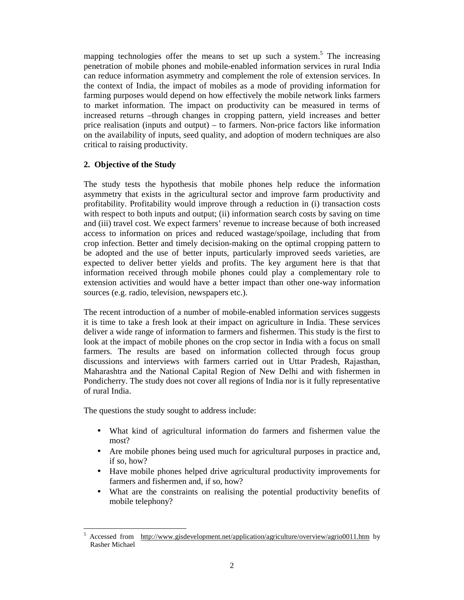mapping technologies offer the means to set up such a system.<sup>5</sup> The increasing penetration of mobile phones and mobile-enabled information services in rural India can reduce information asymmetry and complement the role of extension services. In the context of India, the impact of mobiles as a mode of providing information for farming purposes would depend on how effectively the mobile network links farmers to market information. The impact on productivity can be measured in terms of increased returns –through changes in cropping pattern, yield increases and better price realisation (inputs and output) – to farmers. Non-price factors like information on the availability of inputs, seed quality, and adoption of modern techniques are also critical to raising productivity.

# **2. Objective of the Study**

The study tests the hypothesis that mobile phones help reduce the information asymmetry that exists in the agricultural sector and improve farm productivity and profitability. Profitability would improve through a reduction in (i) transaction costs with respect to both inputs and output; (ii) information search costs by saving on time and (iii) travel cost. We expect farmers' revenue to increase because of both increased access to information on prices and reduced wastage/spoilage, including that from crop infection. Better and timely decision-making on the optimal cropping pattern to be adopted and the use of better inputs, particularly improved seeds varieties, are expected to deliver better yields and profits. The key argument here is that that information received through mobile phones could play a complementary role to extension activities and would have a better impact than other one-way information sources (e.g. radio, television, newspapers etc.).

The recent introduction of a number of mobile-enabled information services suggests it is time to take a fresh look at their impact on agriculture in India. These services deliver a wide range of information to farmers and fishermen. This study is the first to look at the impact of mobile phones on the crop sector in India with a focus on small farmers. The results are based on information collected through focus group discussions and interviews with farmers carried out in Uttar Pradesh, Rajasthan, Maharashtra and the National Capital Region of New Delhi and with fishermen in Pondicherry. The study does not cover all regions of India nor is it fully representative of rural India.

The questions the study sought to address include:

- What kind of agricultural information do farmers and fishermen value the most?
- Are mobile phones being used much for agricultural purposes in practice and, if so, how?
- Have mobile phones helped drive agricultural productivity improvements for farmers and fishermen and, if so, how?
- What are the constraints on realising the potential productivity benefits of mobile telephony?

<sup>-</sup>5 Accessed from http://www.gisdevelopment.net/application/agriculture/overview/agrio0011.htm by Rasher Michael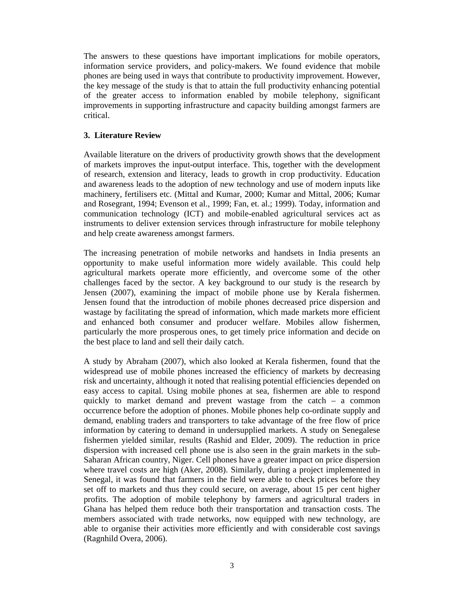The answers to these questions have important implications for mobile operators, information service providers, and policy-makers. We found evidence that mobile phones are being used in ways that contribute to productivity improvement. However, the key message of the study is that to attain the full productivity enhancing potential of the greater access to information enabled by mobile telephony, significant improvements in supporting infrastructure and capacity building amongst farmers are critical.

# **3. Literature Review**

Available literature on the drivers of productivity growth shows that the development of markets improves the input-output interface. This, together with the development of research, extension and literacy, leads to growth in crop productivity. Education and awareness leads to the adoption of new technology and use of modern inputs like machinery, fertilisers etc. (Mittal and Kumar, 2000; Kumar and Mittal, 2006; Kumar and Rosegrant, 1994; Evenson et al., 1999; Fan, et. al.; 1999). Today, information and communication technology (ICT) and mobile-enabled agricultural services act as instruments to deliver extension services through infrastructure for mobile telephony and help create awareness amongst farmers.

The increasing penetration of mobile networks and handsets in India presents an opportunity to make useful information more widely available. This could help agricultural markets operate more efficiently, and overcome some of the other challenges faced by the sector. A key background to our study is the research by Jensen (2007), examining the impact of mobile phone use by Kerala fishermen. Jensen found that the introduction of mobile phones decreased price dispersion and wastage by facilitating the spread of information, which made markets more efficient and enhanced both consumer and producer welfare. Mobiles allow fishermen, particularly the more prosperous ones, to get timely price information and decide on the best place to land and sell their daily catch.

A study by Abraham (2007), which also looked at Kerala fishermen, found that the widespread use of mobile phones increased the efficiency of markets by decreasing risk and uncertainty, although it noted that realising potential efficiencies depended on easy access to capital. Using mobile phones at sea, fishermen are able to respond quickly to market demand and prevent wastage from the catch – a common occurrence before the adoption of phones. Mobile phones help co-ordinate supply and demand, enabling traders and transporters to take advantage of the free flow of price information by catering to demand in undersupplied markets. A study on Senegalese fishermen yielded similar, results (Rashid and Elder, 2009). The reduction in price dispersion with increased cell phone use is also seen in the grain markets in the sub-Saharan African country, Niger. Cell phones have a greater impact on price dispersion where travel costs are high (Aker, 2008). Similarly, during a project implemented in Senegal, it was found that farmers in the field were able to check prices before they set off to markets and thus they could secure, on average, about 15 per cent higher profits. The adoption of mobile telephony by farmers and agricultural traders in Ghana has helped them reduce both their transportation and transaction costs. The members associated with trade networks, now equipped with new technology, are able to organise their activities more efficiently and with considerable cost savings (Ragnhild Overa, 2006).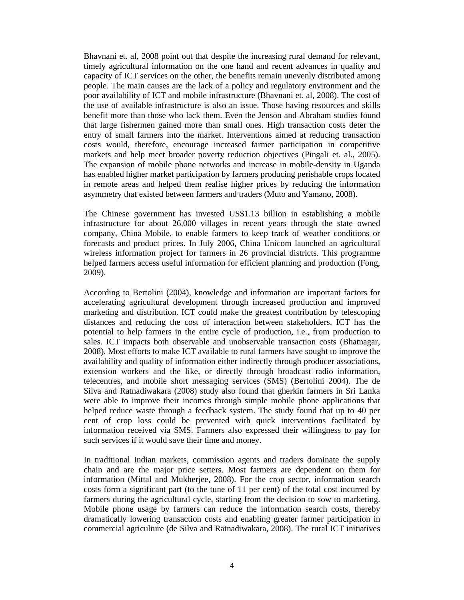Bhavnani et. al, 2008 point out that despite the increasing rural demand for relevant, timely agricultural information on the one hand and recent advances in quality and capacity of ICT services on the other, the benefits remain unevenly distributed among people. The main causes are the lack of a policy and regulatory environment and the poor availability of ICT and mobile infrastructure (Bhavnani et. al, 2008). The cost of the use of available infrastructure is also an issue. Those having resources and skills benefit more than those who lack them. Even the Jenson and Abraham studies found that large fishermen gained more than small ones. High transaction costs deter the entry of small farmers into the market. Interventions aimed at reducing transaction costs would, therefore, encourage increased farmer participation in competitive markets and help meet broader poverty reduction objectives (Pingali et. al., 2005). The expansion of mobile phone networks and increase in mobile-density in Uganda has enabled higher market participation by farmers producing perishable crops located in remote areas and helped them realise higher prices by reducing the information asymmetry that existed between farmers and traders (Muto and Yamano, 2008).

The Chinese government has invested US\$1.13 billion in establishing a mobile infrastructure for about 26,000 villages in recent years through the state owned company, China Mobile, to enable farmers to keep track of weather conditions or forecasts and product prices. In July 2006, China Unicom launched an agricultural wireless information project for farmers in 26 provincial districts. This programme helped farmers access useful information for efficient planning and production (Fong, 2009).

According to Bertolini (2004), knowledge and information are important factors for accelerating agricultural development through increased production and improved marketing and distribution. ICT could make the greatest contribution by telescoping distances and reducing the cost of interaction between stakeholders. ICT has the potential to help farmers in the entire cycle of production, i.e., from production to sales. ICT impacts both observable and unobservable transaction costs (Bhatnagar, 2008). Most efforts to make ICT available to rural farmers have sought to improve the availability and quality of information either indirectly through producer associations, extension workers and the like, or directly through broadcast radio information, telecentres, and mobile short messaging services (SMS) (Bertolini 2004). The de Silva and Ratnadiwakara (2008) study also found that gherkin farmers in Sri Lanka were able to improve their incomes through simple mobile phone applications that helped reduce waste through a feedback system. The study found that up to 40 per cent of crop loss could be prevented with quick interventions facilitated by information received via SMS. Farmers also expressed their willingness to pay for such services if it would save their time and money.

In traditional Indian markets, commission agents and traders dominate the supply chain and are the major price setters. Most farmers are dependent on them for information (Mittal and Mukherjee, 2008). For the crop sector, information search costs form a significant part (to the tune of 11 per cent) of the total cost incurred by farmers during the agricultural cycle, starting from the decision to sow to marketing. Mobile phone usage by farmers can reduce the information search costs, thereby dramatically lowering transaction costs and enabling greater farmer participation in commercial agriculture (de Silva and Ratnadiwakara, 2008). The rural ICT initiatives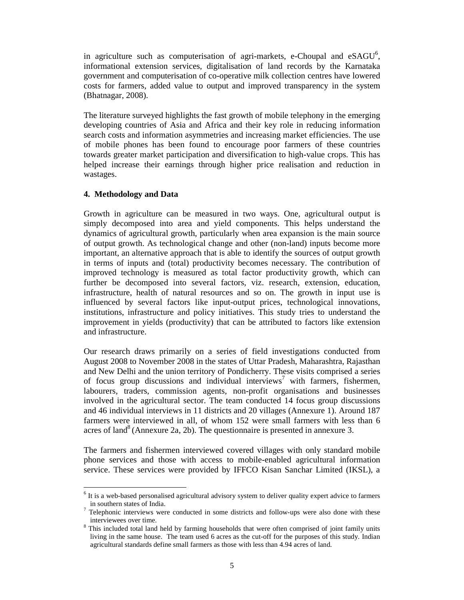in agriculture such as computerisation of agri-markets, e-Choupal and  $eSAGU^6$ , informational extension services, digitalisation of land records by the Karnataka government and computerisation of co-operative milk collection centres have lowered costs for farmers, added value to output and improved transparency in the system (Bhatnagar, 2008).

The literature surveyed highlights the fast growth of mobile telephony in the emerging developing countries of Asia and Africa and their key role in reducing information search costs and information asymmetries and increasing market efficiencies. The use of mobile phones has been found to encourage poor farmers of these countries towards greater market participation and diversification to high-value crops. This has helped increase their earnings through higher price realisation and reduction in wastages.

# **4. Methodology and Data**

Growth in agriculture can be measured in two ways. One, agricultural output is simply decomposed into area and yield components. This helps understand the dynamics of agricultural growth, particularly when area expansion is the main source of output growth. As technological change and other (non-land) inputs become more important, an alternative approach that is able to identify the sources of output growth in terms of inputs and (total) productivity becomes necessary. The contribution of improved technology is measured as total factor productivity growth, which can further be decomposed into several factors, viz. research, extension, education, infrastructure, health of natural resources and so on. The growth in input use is influenced by several factors like input-output prices, technological innovations, institutions, infrastructure and policy initiatives. This study tries to understand the improvement in yields (productivity) that can be attributed to factors like extension and infrastructure.

Our research draws primarily on a series of field investigations conducted from August 2008 to November 2008 in the states of Uttar Pradesh, Maharashtra, Rajasthan and New Delhi and the union territory of Pondicherry. These visits comprised a series of focus group discussions and individual interviews<sup>7</sup> with farmers, fishermen, labourers, traders, commission agents, non-profit organisations and businesses involved in the agricultural sector. The team conducted 14 focus group discussions and 46 individual interviews in 11 districts and 20 villages (Annexure 1). Around 187 farmers were interviewed in all, of whom 152 were small farmers with less than 6 acres of land<sup>8</sup> (Annexure 2a, 2b). The questionnaire is presented in annexure 3.

The farmers and fishermen interviewed covered villages with only standard mobile phone services and those with access to mobile-enabled agricultural information service. These services were provided by IFFCO Kisan Sanchar Limited (IKSL), a

<sup>-</sup><sup>6</sup> It is a web-based personalised agricultural advisory system to deliver quality expert advice to farmers in southern states of India.

 $<sup>7</sup>$  Telephonic interviews were conducted in some districts and follow-ups were also done with these</sup> interviewees over time.

<sup>&</sup>lt;sup>8</sup> This included total land held by farming households that were often comprised of joint family units living in the same house. The team used 6 acres as the cut-off for the purposes of this study. Indian agricultural standards define small farmers as those with less than 4.94 acres of land.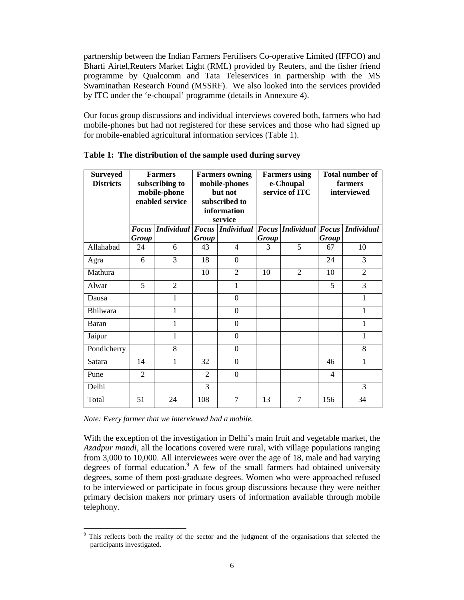partnership between the Indian Farmers Fertilisers Co-operative Limited (IFFCO) and Bharti Airtel,Reuters Market Light (RML) provided by Reuters, and the fisher friend programme by Qualcomm and Tata Teleservices in partnership with the MS Swaminathan Research Found (MSSRF). We also looked into the services provided by ITC under the 'e-choupal' programme (details in Annexure 4).

Our focus group discussions and individual interviews covered both, farmers who had mobile-phones but had not registered for these services and those who had signed up for mobile-enabled agricultural information services (Table 1).

| <b>Surveyed</b><br><b>Districts</b> |                              | <b>Farmers</b><br>subscribing to<br>mobile-phone<br>enabled service | <b>Farmers owning</b><br>mobile-phones<br>but not<br>subscribed to<br>information<br>service |                             | <b>Farmers</b> using<br>e-Choupal<br>service of ITC |                               | <b>Total number of</b><br>farmers<br>interviewed |                |
|-------------------------------------|------------------------------|---------------------------------------------------------------------|----------------------------------------------------------------------------------------------|-----------------------------|-----------------------------------------------------|-------------------------------|--------------------------------------------------|----------------|
|                                     | <b>Focus</b><br><b>Group</b> |                                                                     | <b>Group</b>                                                                                 | Individual Focus Individual | <b>Group</b>                                        | <b>Focus</b> Individual Focus | <b>Group</b>                                     | Individual     |
| Allahabad                           | 24                           | 6                                                                   | 43                                                                                           | 4                           | 3                                                   | 5                             | 67                                               | 10             |
| Agra                                | 6                            | 3                                                                   | 18                                                                                           | $\theta$                    |                                                     |                               | 24                                               | 3              |
| Mathura                             |                              |                                                                     | 10                                                                                           | $\overline{2}$              | 10                                                  | 2                             | 10                                               | $\overline{2}$ |
| Alwar                               | 5                            | $\overline{2}$                                                      |                                                                                              | 1                           |                                                     |                               | 5                                                | 3              |
| Dausa                               |                              | 1                                                                   |                                                                                              | $\boldsymbol{0}$            |                                                     |                               |                                                  | 1              |
| <b>Bhilwara</b>                     |                              | 1                                                                   |                                                                                              | $\boldsymbol{0}$            |                                                     |                               |                                                  | 1              |
| Baran                               |                              | 1                                                                   |                                                                                              | $\boldsymbol{0}$            |                                                     |                               |                                                  | 1              |
| Jaipur                              |                              | 1                                                                   |                                                                                              | $\boldsymbol{0}$            |                                                     |                               |                                                  | 1              |
| Pondicherry                         |                              | 8                                                                   |                                                                                              | $\boldsymbol{0}$            |                                                     |                               |                                                  | 8              |
| Satara                              | 14                           | 1                                                                   | 32                                                                                           | $\boldsymbol{0}$            |                                                     |                               | 46                                               | 1              |
| Pune                                | $\overline{2}$               |                                                                     | $\overline{2}$                                                                               | $\overline{0}$              |                                                     |                               | $\overline{4}$                                   |                |
| Delhi                               |                              |                                                                     | 3                                                                                            |                             |                                                     |                               |                                                  | 3              |
| Total                               | 51                           | 24                                                                  | 108                                                                                          | 7                           | 13                                                  | $\tau$                        | 156                                              | 34             |

|  | Table 1: The distribution of the sample used during survey |  |  |  |
|--|------------------------------------------------------------|--|--|--|
|  |                                                            |  |  |  |

*Note: Every farmer that we interviewed had a mobile.* 

-

With the exception of the investigation in Delhi's main fruit and vegetable market, the *Azadpur mandi*, all the locations covered were rural, with village populations ranging from 3,000 to 10,000. All interviewees were over the age of 18, male and had varying degrees of formal education.<sup>9</sup> A few of the small farmers had obtained university degrees, some of them post-graduate degrees. Women who were approached refused to be interviewed or participate in focus group discussions because they were neither primary decision makers nor primary users of information available through mobile telephony.

<sup>9</sup> This reflects both the reality of the sector and the judgment of the organisations that selected the participants investigated.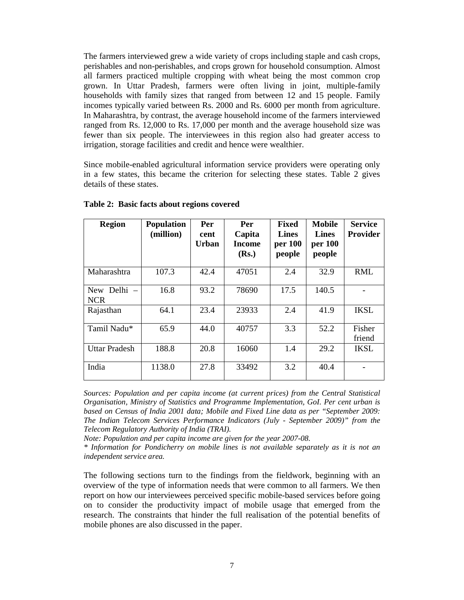The farmers interviewed grew a wide variety of crops including staple and cash crops, perishables and non-perishables, and crops grown for household consumption. Almost all farmers practiced multiple cropping with wheat being the most common crop grown. In Uttar Pradesh, farmers were often living in joint, multiple-family households with family sizes that ranged from between 12 and 15 people. Family incomes typically varied between Rs. 2000 and Rs. 6000 per month from agriculture. In Maharashtra, by contrast, the average household income of the farmers interviewed ranged from Rs. 12,000 to Rs. 17,000 per month and the average household size was fewer than six people. The interviewees in this region also had greater access to irrigation, storage facilities and credit and hence were wealthier.

Since mobile-enabled agricultural information service providers were operating only in a few states, this became the criterion for selecting these states. Table 2 gives details of these states.

| <b>Region</b>             | <b>Population</b><br>(million) | Per<br>cent<br><b>Urban</b> | Per<br>Capita<br><b>Income</b><br>(Rs.) | <b>Fixed</b><br><b>Lines</b><br>per 100<br>people | <b>Mobile</b><br><b>Lines</b><br>per 100<br>people | <b>Service</b><br><b>Provider</b> |
|---------------------------|--------------------------------|-----------------------------|-----------------------------------------|---------------------------------------------------|----------------------------------------------------|-----------------------------------|
| Maharashtra               | 107.3                          | 42.4                        | 47051                                   | 2.4                                               | 32.9                                               | <b>RML</b>                        |
| New Delhi -<br><b>NCR</b> | 16.8                           | 93.2                        | 78690                                   | 17.5                                              | 140.5                                              |                                   |
| Rajasthan                 | 64.1                           | 23.4                        | 23933                                   | 2.4                                               | 41.9                                               | <b>IKSL</b>                       |
| Tamil Nadu*               | 65.9                           | 44.0                        | 40757                                   | 3.3                                               | 52.2                                               | Fisher<br>friend                  |
| <b>Uttar Pradesh</b>      | 188.8                          | 20.8                        | 16060                                   | 1.4                                               | 29.2                                               | <b>IKSL</b>                       |
| India                     | 1138.0                         | 27.8                        | 33492                                   | 3.2                                               | 40.4                                               |                                   |

**Table 2: Basic facts about regions covered**

*Sources: Population and per capita income (at current prices) from the Central Statistical Organisation, Ministry of Statistics and Programme Implementation, GoI. Per cent urban is based on Census of India 2001 data; Mobile and Fixed Line data as per "September 2009: The Indian Telecom Services Performance Indicators (July - September 2009)" from the Telecom Regulatory Authority of India (TRAI).* 

*Note: Population and per capita income are given for the year 2007-08.* 

*\* Information for Pondicherry on mobile lines is not available separately as it is not an independent service area.* 

The following sections turn to the findings from the fieldwork, beginning with an overview of the type of information needs that were common to all farmers. We then report on how our interviewees perceived specific mobile-based services before going on to consider the productivity impact of mobile usage that emerged from the research. The constraints that hinder the full realisation of the potential benefits of mobile phones are also discussed in the paper.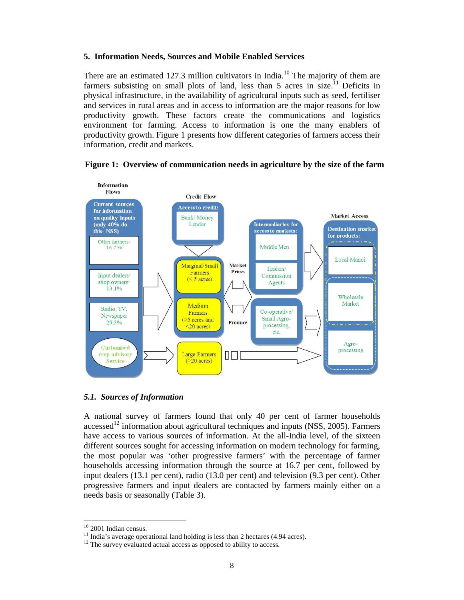# **5. Information Needs, Sources and Mobile Enabled Services**

There are an estimated 127.3 million cultivators in India.<sup>10</sup> The majority of them are farmers subsisting on small plots of land, less than 5 acres in size.<sup>11</sup> Deficits in physical infrastructure, in the availability of agricultural inputs such as seed, fertiliser and services in rural areas and in access to information are the major reasons for low productivity growth. These factors create the communications and logistics environment for farming. Access to information is one the many enablers of productivity growth. Figure 1 presents how different categories of farmers access their information, credit and markets.





# *5.1. Sources of Information*

A national survey of farmers found that only 40 per cent of farmer households  $accessed<sup>12</sup>$  information about agricultural techniques and inputs (NSS, 2005). Farmers have access to various sources of information. At the all-India level, of the sixteen different sources sought for accessing information on modern technology for farming, the most popular was 'other progressive farmers' with the percentage of farmer households accessing information through the source at 16.7 per cent, followed by input dealers (13.1 per cent), radio (13.0 per cent) and television (9.3 per cent). Other progressive farmers and input dealers are contacted by farmers mainly either on a needs basis or seasonally (Table 3).

<sup>-</sup><sup>10</sup> 2001 Indian census.

 $11$  India's average operational land holding is less than 2 hectares (4.94 acres).

 $12$  The survey evaluated actual access as opposed to ability to access.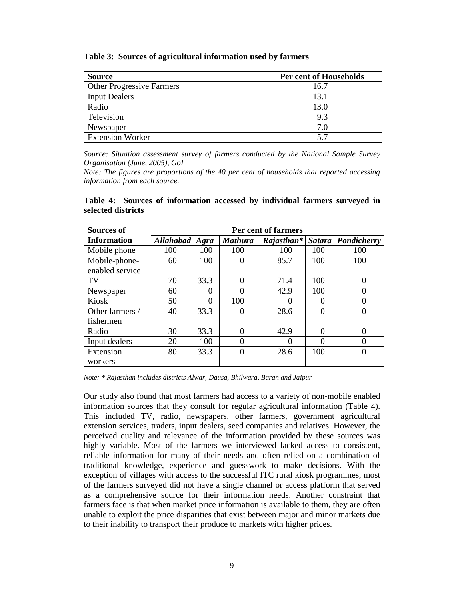**Table 3: Sources of agricultural information used by farmers**

| <b>Source</b>                    | Per cent of Households |
|----------------------------------|------------------------|
| <b>Other Progressive Farmers</b> | 16.7                   |
| <b>Input Dealers</b>             | 13.1                   |
| Radio                            | 13.0                   |
| Television                       | 9.3                    |
| Newspaper                        | 70                     |
| <b>Extension Worker</b>          | 57                     |

*Source: Situation assessment survey of farmers conducted by the National Sample Survey Organisation (June, 2005), GoI*

*Note: The figures are proportions of the 40 per cent of households that reported accessing information from each source.*

# **Table 4: Sources of information accessed by individual farmers surveyed in selected districts**

| <b>Sources of</b>  | Per cent of farmers |          |                |             |          |                      |
|--------------------|---------------------|----------|----------------|-------------|----------|----------------------|
| <b>Information</b> | Allahabad   Agra    |          | <b>Mathura</b> | $Rajashan*$ |          | Satara   Pondicherry |
| Mobile phone       | 100                 | 100      | 100            | 100         | 100      | 100                  |
| Mobile-phone-      | 60                  | 100      |                | 85.7        | 100      | 100                  |
| enabled service    |                     |          |                |             |          |                      |
| TV                 | 70                  | 33.3     | 0              | 71.4        | 100      | 0                    |
| Newspaper          | 60                  | $\Omega$ |                | 42.9        | 100      | 0                    |
| Kiosk              | 50                  | $\Omega$ | 100            |             | 0        | 0                    |
| Other farmers /    | 40                  | 33.3     |                | 28.6        | 0        | 0                    |
| fishermen          |                     |          |                |             |          |                      |
| Radio              | 30                  | 33.3     | 0              | 42.9        | $\Omega$ | 0                    |
| Input dealers      | 20                  | 100      |                |             | 0        | $\Omega$             |
| Extension          | 80                  | 33.3     |                | 28.6        | 100      | 0                    |
| workers            |                     |          |                |             |          |                      |

*Note: \* Rajasthan includes districts Alwar, Dausa, Bhilwara, Baran and Jaipur*

Our study also found that most farmers had access to a variety of non-mobile enabled information sources that they consult for regular agricultural information (Table 4). This included TV, radio, newspapers, other farmers, government agricultural extension services, traders, input dealers, seed companies and relatives. However, the perceived quality and relevance of the information provided by these sources was highly variable. Most of the farmers we interviewed lacked access to consistent, reliable information for many of their needs and often relied on a combination of traditional knowledge, experience and guesswork to make decisions. With the exception of villages with access to the successful ITC rural kiosk programmes, most of the farmers surveyed did not have a single channel or access platform that served as a comprehensive source for their information needs. Another constraint that farmers face is that when market price information is available to them, they are often unable to exploit the price disparities that exist between major and minor markets due to their inability to transport their produce to markets with higher prices.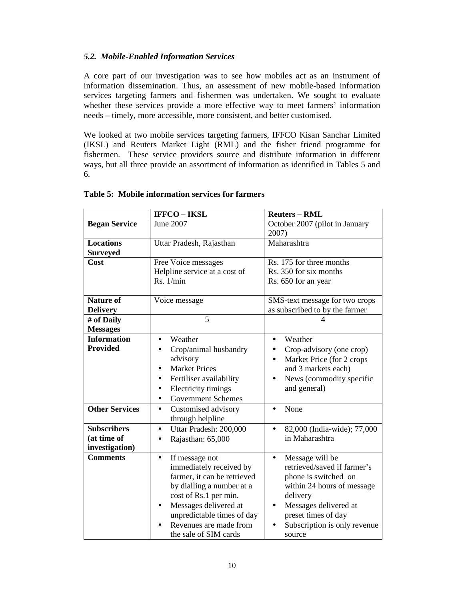# *5.2. Mobile-Enabled Information Services*

A core part of our investigation was to see how mobiles act as an instrument of information dissemination. Thus, an assessment of new mobile-based information services targeting farmers and fishermen was undertaken. We sought to evaluate whether these services provide a more effective way to meet farmers' information needs – timely, more accessible, more consistent, and better customised.

We looked at two mobile services targeting farmers, IFFCO Kisan Sanchar Limited (IKSL) and Reuters Market Light (RML) and the fisher friend programme for fishermen. These service providers source and distribute information in different ways, but all three provide an assortment of information as identified in Tables 5 and 6.

|                                                     | <b>IFFCO-IKSL</b>                                                                                                                                                                                                                                     | <b>Reuters - RML</b>                                                                                                                                                                                                                 |  |  |  |
|-----------------------------------------------------|-------------------------------------------------------------------------------------------------------------------------------------------------------------------------------------------------------------------------------------------------------|--------------------------------------------------------------------------------------------------------------------------------------------------------------------------------------------------------------------------------------|--|--|--|
| <b>Began Service</b>                                | <b>June 2007</b>                                                                                                                                                                                                                                      | October 2007 (pilot in January<br>2007)                                                                                                                                                                                              |  |  |  |
| <b>Locations</b><br><b>Surveyed</b>                 | Uttar Pradesh, Rajasthan                                                                                                                                                                                                                              | Maharashtra                                                                                                                                                                                                                          |  |  |  |
| Cost                                                | Free Voice messages<br>Helpline service at a cost of<br>Rs. 1/min                                                                                                                                                                                     | Rs. 175 for three months<br>Rs. 350 for six months<br>Rs. 650 for an year                                                                                                                                                            |  |  |  |
| <b>Nature of</b><br><b>Delivery</b>                 | Voice message                                                                                                                                                                                                                                         | SMS-text message for two crops<br>as subscribed to by the farmer                                                                                                                                                                     |  |  |  |
| # of Daily<br><b>Messages</b>                       | 5                                                                                                                                                                                                                                                     |                                                                                                                                                                                                                                      |  |  |  |
| <b>Information</b><br><b>Provided</b>               | Weather<br>$\bullet$<br>Crop/animal husbandry<br>advisory<br><b>Market Prices</b><br>Fertiliser availability<br>Electricity timings<br>$\bullet$<br><b>Government Schemes</b>                                                                         | Weather<br>$\bullet$<br>Crop-advisory (one crop)<br>$\bullet$<br>Market Price (for 2 crops<br>$\bullet$<br>and 3 markets each)<br>News (commodity specific<br>and general)                                                           |  |  |  |
| <b>Other Services</b>                               | Customised advisory<br>$\bullet$<br>through helpline                                                                                                                                                                                                  | None<br>$\bullet$                                                                                                                                                                                                                    |  |  |  |
| <b>Subscribers</b><br>(at time of<br>investigation) | Uttar Pradesh: 200,000<br>$\bullet$<br>Rajasthan: 65,000                                                                                                                                                                                              | 82,000 (India-wide); 77,000<br>in Maharashtra                                                                                                                                                                                        |  |  |  |
| <b>Comments</b>                                     | If message not<br>$\bullet$<br>immediately received by<br>farmer, it can be retrieved<br>by dialling a number at a<br>cost of Rs.1 per min.<br>Messages delivered at<br>unpredictable times of day<br>Revenues are made from<br>the sale of SIM cards | Message will be<br>$\bullet$<br>retrieved/saved if farmer's<br>phone is switched on<br>within 24 hours of message<br>delivery<br>Messages delivered at<br>$\bullet$<br>preset times of day<br>Subscription is only revenue<br>source |  |  |  |

# **Table 5: Mobile information services for farmers**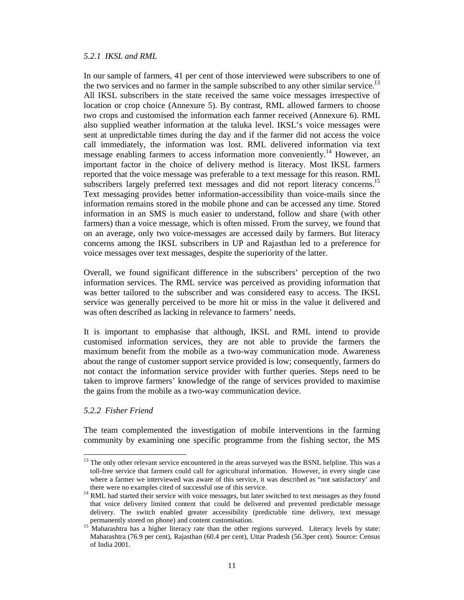#### *5.2.1 IKSL and RML*

In our sample of farmers, 41 per cent of those interviewed were subscribers to one of the two services and no farmer in the sample subscribed to any other similar service.<sup>13</sup> All IKSL subscribers in the state received the same voice messages irrespective of location or crop choice (Annexure 5). By contrast, RML allowed farmers to choose two crops and customised the information each farmer received (Annexure 6). RML also supplied weather information at the taluka level. IKSL's voice messages were sent at unpredictable times during the day and if the farmer did not access the voice call immediately, the information was lost. RML delivered information via text message enabling farmers to access information more conveniently.<sup>14</sup> However, an important factor in the choice of delivery method is literacy. Most IKSL farmers reported that the voice message was preferable to a text message for this reason. RML subscribers largely preferred text messages and did not report literacy concerns.<sup>15</sup> Text messaging provides better information-accessibility than voice-mails since the information remains stored in the mobile phone and can be accessed any time. Stored information in an SMS is much easier to understand, follow and share (with other farmers) than a voice message, which is often missed. From the survey, we found that on an average, only two voice-messages are accessed daily by farmers. But literacy concerns among the IKSL subscribers in UP and Rajasthan led to a preference for voice messages over text messages, despite the superiority of the latter.

Overall, we found significant difference in the subscribers' perception of the two information services. The RML service was perceived as providing information that was better tailored to the subscriber and was considered easy to access. The IKSL service was generally perceived to be more hit or miss in the value it delivered and was often described as lacking in relevance to farmers' needs.

It is important to emphasise that although, IKSL and RML intend to provide customised information services, they are not able to provide the farmers the maximum benefit from the mobile as a two-way communication mode. Awareness about the range of customer support service provided is low; consequently, farmers do not contact the information service provider with further queries. Steps need to be taken to improve farmers' knowledge of the range of services provided to maximise the gains from the mobile as a two-way communication device.

#### *5.2.2 Fisher Friend*

-

The team complemented the investigation of mobile interventions in the farming community by examining one specific programme from the fishing sector, the MS

<sup>&</sup>lt;sup>13</sup> The only other relevant service encountered in the areas surveyed was the BSNL helpline. This was a toll-free service that farmers could call for agricultural information. However, in every single case where a farmer we interviewed was aware of this service, it was described as "not satisfactory' and there were no examples cited of successful use of this service.

<sup>&</sup>lt;sup>14</sup> RML had started their service with voice messages, but later switched to text messages as they found that voice delivery limited content that could be delivered and prevented predictable message delivery. The switch enabled greater accessibility (predictable time delivery, text message permanently stored on phone) and content customisation.

<sup>&</sup>lt;sup>15</sup> Maharashtra has a higher literacy rate than the other regions surveyed. Literacy levels by state: Maharashtra (76.9 per cent), Rajasthan (60.4 per cent), Uttar Pradesh (56.3per cent). Source: Census of India 2001.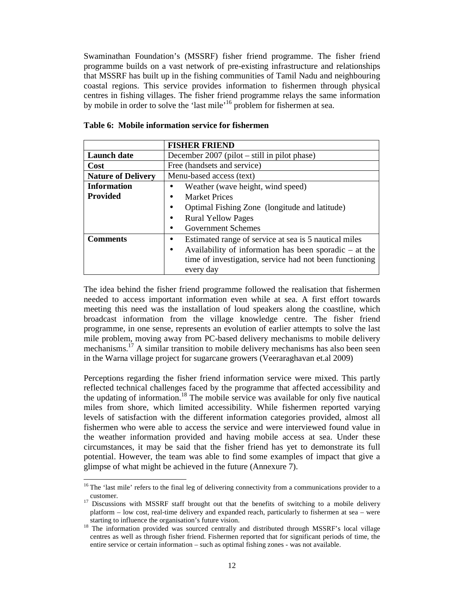Swaminathan Foundation's (MSSRF) fisher friend programme. The fisher friend programme builds on a vast network of pre-existing infrastructure and relationships that MSSRF has built up in the fishing communities of Tamil Nadu and neighbouring coastal regions. This service provides information to fishermen through physical centres in fishing villages. The fisher friend programme relays the same information by mobile in order to solve the 'last mile'<sup>16</sup> problem for fishermen at sea.

|                           | <b>FISHER FRIEND</b>                                                  |  |  |  |  |
|---------------------------|-----------------------------------------------------------------------|--|--|--|--|
| <b>Launch</b> date        | December $2007$ (pilot $-$ still in pilot phase)                      |  |  |  |  |
| Cost                      | Free (handsets and service)                                           |  |  |  |  |
| <b>Nature of Delivery</b> | Menu-based access (text)                                              |  |  |  |  |
| <b>Information</b>        | Weather (wave height, wind speed)                                     |  |  |  |  |
| <b>Provided</b>           | <b>Market Prices</b>                                                  |  |  |  |  |
|                           | Optimal Fishing Zone (longitude and latitude)<br>$\bullet$            |  |  |  |  |
|                           | <b>Rural Yellow Pages</b><br>٠                                        |  |  |  |  |
|                           | <b>Government Schemes</b>                                             |  |  |  |  |
| <b>Comments</b>           | Estimated range of service at sea is 5 nautical miles<br>٠            |  |  |  |  |
|                           | Availability of information has been sporadic $-$ at the<br>$\bullet$ |  |  |  |  |
|                           | time of investigation, service had not been functioning               |  |  |  |  |
|                           | every day                                                             |  |  |  |  |

The idea behind the fisher friend programme followed the realisation that fishermen needed to access important information even while at sea. A first effort towards meeting this need was the installation of loud speakers along the coastline, which broadcast information from the village knowledge centre. The fisher friend programme, in one sense, represents an evolution of earlier attempts to solve the last mile problem, moving away from PC-based delivery mechanisms to mobile delivery mechanisms.<sup>17</sup> A similar transition to mobile delivery mechanisms has also been seen in the Warna village project for sugarcane growers (Veeraraghavan et.al 2009)

Perceptions regarding the fisher friend information service were mixed. This partly reflected technical challenges faced by the programme that affected accessibility and the updating of information.<sup>18</sup> The mobile service was available for only five nautical miles from shore, which limited accessibility. While fishermen reported varying levels of satisfaction with the different information categories provided, almost all fishermen who were able to access the service and were interviewed found value in the weather information provided and having mobile access at sea. Under these circumstances, it may be said that the fisher friend has yet to demonstrate its full potential. However, the team was able to find some examples of impact that give a glimpse of what might be achieved in the future (Annexure 7).

-

<sup>&</sup>lt;sup>16</sup>The 'last mile' refers to the final leg of delivering connectivity from a communications provider to a customer.

<sup>&</sup>lt;sup>17</sup> Discussions with MSSRF staff brought out that the benefits of switching to a mobile delivery platform – low cost, real-time delivery and expanded reach, particularly to fishermen at sea – were starting to influence the organisation's future vision.

<sup>&</sup>lt;sup>18</sup> The information provided was sourced centrally and distributed through MSSRF's local village centres as well as through fisher friend. Fishermen reported that for significant periods of time, the entire service or certain information – such as optimal fishing zones - was not available.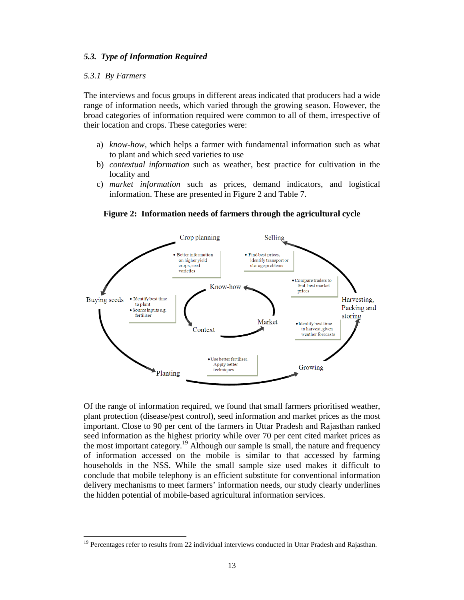## *5.3. Type of Information Required*

#### *5.3.1 By Farmers*

-

The interviews and focus groups in different areas indicated that producers had a wide range of information needs, which varied through the growing season. However, the broad categories of information required were common to all of them, irrespective of their location and crops. These categories were:

- a) *know-how,* which helps a farmer with fundamental information such as what to plant and which seed varieties to use
- b) *contextual information* such as weather, best practice for cultivation in the locality and
- c) *market information* such as prices, demand indicators, and logistical information. These are presented in Figure 2 and Table 7.



#### **Figure 2: Information needs of farmers through the agricultural cycle**

Of the range of information required, we found that small farmers prioritised weather, plant protection (disease/pest control), seed information and market prices as the most important. Close to 90 per cent of the farmers in Uttar Pradesh and Rajasthan ranked seed information as the highest priority while over 70 per cent cited market prices as the most important category.<sup>19</sup> Although our sample is small, the nature and frequency of information accessed on the mobile is similar to that accessed by farming households in the NSS. While the small sample size used makes it difficult to conclude that mobile telephony is an efficient substitute for conventional information delivery mechanisms to meet farmers' information needs, our study clearly underlines the hidden potential of mobile-based agricultural information services.

<sup>&</sup>lt;sup>19</sup> Percentages refer to results from 22 individual interviews conducted in Uttar Pradesh and Rajasthan.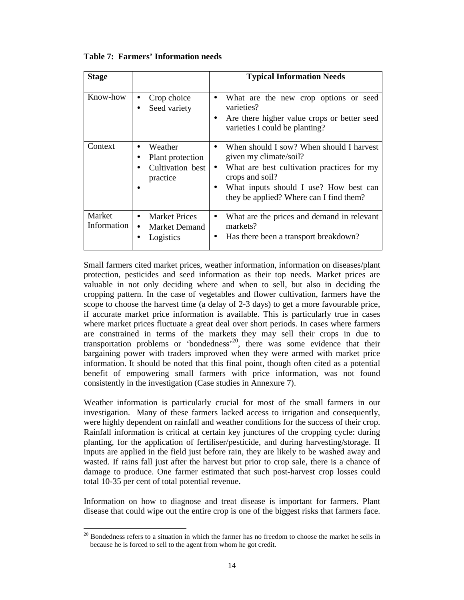| <b>Stage</b>          |                                                                              | <b>Typical Information Needs</b>                                                                                                                                                                                         |
|-----------------------|------------------------------------------------------------------------------|--------------------------------------------------------------------------------------------------------------------------------------------------------------------------------------------------------------------------|
| Know-how              | Crop choice<br>Seed variety                                                  | What are the new crop options or seed<br>$\bullet$<br>varieties?<br>Are there higher value crops or better seed<br>varieties I could be planting?                                                                        |
| Context               | Weather<br>Plant protection<br>Cultivation best<br>practice                  | When should I sow? When should I harvest<br>given my climate/soil?<br>What are best cultivation practices for my<br>crops and soil?<br>What inputs should I use? How best can<br>they be applied? Where can I find them? |
| Market<br>Information | <b>Market Prices</b><br>$\bullet$<br>Market Demand<br>$\bullet$<br>Logistics | What are the prices and demand in relevant<br>$\bullet$<br>markets?<br>Has there been a transport breakdown?<br>$\bullet$                                                                                                |

**Table 7: Farmers' Information needs**

Small farmers cited market prices, weather information, information on diseases/plant protection, pesticides and seed information as their top needs. Market prices are valuable in not only deciding where and when to sell, but also in deciding the cropping pattern. In the case of vegetables and flower cultivation, farmers have the scope to choose the harvest time (a delay of 2-3 days) to get a more favourable price, if accurate market price information is available. This is particularly true in cases where market prices fluctuate a great deal over short periods. In cases where farmers are constrained in terms of the markets they may sell their crops in due to transportation problems or 'bondedness'<sup>20</sup>, there was some evidence that their bargaining power with traders improved when they were armed with market price information. It should be noted that this final point, though often cited as a potential benefit of empowering small farmers with price information, was not found consistently in the investigation (Case studies in Annexure 7).

Weather information is particularly crucial for most of the small farmers in our investigation. Many of these farmers lacked access to irrigation and consequently, were highly dependent on rainfall and weather conditions for the success of their crop. Rainfall information is critical at certain key junctures of the cropping cycle: during planting, for the application of fertiliser/pesticide, and during harvesting/storage. If inputs are applied in the field just before rain, they are likely to be washed away and wasted. If rains fall just after the harvest but prior to crop sale, there is a chance of damage to produce. One farmer estimated that such post-harvest crop losses could total 10-35 per cent of total potential revenue.

Information on how to diagnose and treat disease is important for farmers. Plant disease that could wipe out the entire crop is one of the biggest risks that farmers face.

-

 $20$  Bondedness refers to a situation in which the farmer has no freedom to choose the market he sells in because he is forced to sell to the agent from whom he got credit.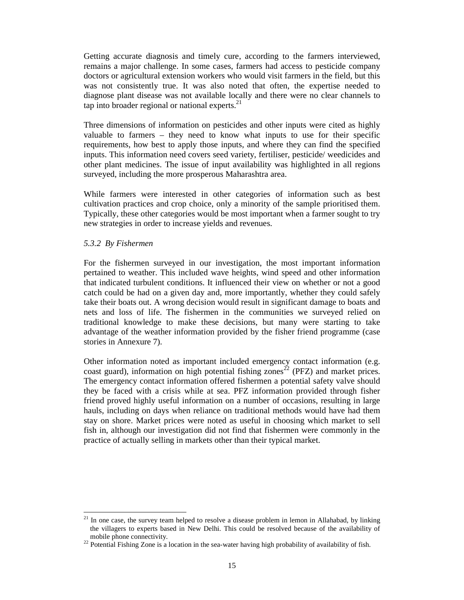Getting accurate diagnosis and timely cure, according to the farmers interviewed, remains a major challenge. In some cases, farmers had access to pesticide company doctors or agricultural extension workers who would visit farmers in the field, but this was not consistently true. It was also noted that often, the expertise needed to diagnose plant disease was not available locally and there were no clear channels to tap into broader regional or national experts. $^{21}$ 

Three dimensions of information on pesticides and other inputs were cited as highly valuable to farmers – they need to know what inputs to use for their specific requirements, how best to apply those inputs, and where they can find the specified inputs. This information need covers seed variety, fertiliser, pesticide/ weedicides and other plant medicines. The issue of input availability was highlighted in all regions surveyed, including the more prosperous Maharashtra area.

While farmers were interested in other categories of information such as best cultivation practices and crop choice, only a minority of the sample prioritised them. Typically, these other categories would be most important when a farmer sought to try new strategies in order to increase yields and revenues.

## *5.3.2 By Fishermen*

-

For the fishermen surveyed in our investigation, the most important information pertained to weather. This included wave heights, wind speed and other information that indicated turbulent conditions. It influenced their view on whether or not a good catch could be had on a given day and, more importantly, whether they could safely take their boats out. A wrong decision would result in significant damage to boats and nets and loss of life. The fishermen in the communities we surveyed relied on traditional knowledge to make these decisions, but many were starting to take advantage of the weather information provided by the fisher friend programme (case stories in Annexure 7).

Other information noted as important included emergency contact information (e.g. coast guard), information on high potential fishing zones<sup>22</sup> (PFZ) and market prices. The emergency contact information offered fishermen a potential safety valve should they be faced with a crisis while at sea. PFZ information provided through fisher friend proved highly useful information on a number of occasions, resulting in large hauls, including on days when reliance on traditional methods would have had them stay on shore. Market prices were noted as useful in choosing which market to sell fish in, although our investigation did not find that fishermen were commonly in the practice of actually selling in markets other than their typical market.

 $21$  In one case, the survey team helped to resolve a disease problem in lemon in Allahabad, by linking the villagers to experts based in New Delhi. This could be resolved because of the availability of mobile phone connectivity.

 $^{22}$  Potential Fishing Zone is a location in the sea-water having high probability of availability of fish.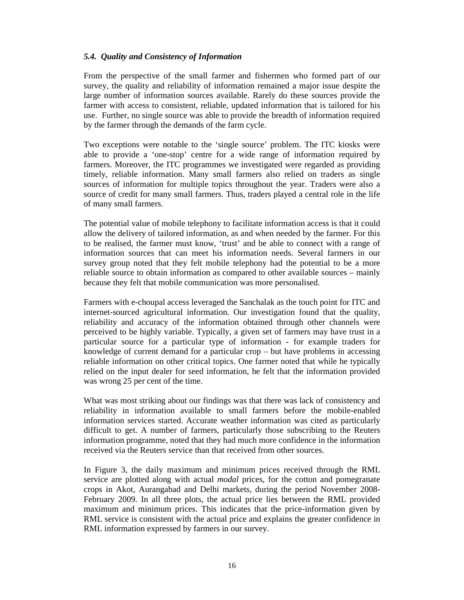# *5.4. Quality and Consistency of Information*

From the perspective of the small farmer and fishermen who formed part of our survey, the quality and reliability of information remained a major issue despite the large number of information sources available. Rarely do these sources provide the farmer with access to consistent, reliable, updated information that is tailored for his use. Further, no single source was able to provide the breadth of information required by the farmer through the demands of the farm cycle.

Two exceptions were notable to the 'single source' problem. The ITC kiosks were able to provide a 'one-stop' centre for a wide range of information required by farmers. Moreover, the ITC programmes we investigated were regarded as providing timely, reliable information. Many small farmers also relied on traders as single sources of information for multiple topics throughout the year. Traders were also a source of credit for many small farmers. Thus, traders played a central role in the life of many small farmers.

The potential value of mobile telephony to facilitate information access is that it could allow the delivery of tailored information, as and when needed by the farmer. For this to be realised, the farmer must know, 'trust' and be able to connect with a range of information sources that can meet his information needs. Several farmers in our survey group noted that they felt mobile telephony had the potential to be a more reliable source to obtain information as compared to other available sources – mainly because they felt that mobile communication was more personalised.

Farmers with e-choupal access leveraged the Sanchalak as the touch point for ITC and internet-sourced agricultural information. Our investigation found that the quality, reliability and accuracy of the information obtained through other channels were perceived to be highly variable. Typically, a given set of farmers may have trust in a particular source for a particular type of information - for example traders for knowledge of current demand for a particular crop – but have problems in accessing reliable information on other critical topics. One farmer noted that while he typically relied on the input dealer for seed information, he felt that the information provided was wrong 25 per cent of the time.

What was most striking about our findings was that there was lack of consistency and reliability in information available to small farmers before the mobile-enabled information services started. Accurate weather information was cited as particularly difficult to get. A number of farmers, particularly those subscribing to the Reuters information programme, noted that they had much more confidence in the information received via the Reuters service than that received from other sources.

In Figure 3, the daily maximum and minimum prices received through the RML service are plotted along with actual *modal* prices, for the cotton and pomegranate crops in Akot, Aurangabad and Delhi markets, during the period November 2008- February 2009. In all three plots, the actual price lies between the RML provided maximum and minimum prices. This indicates that the price-information given by RML service is consistent with the actual price and explains the greater confidence in RML information expressed by farmers in our survey.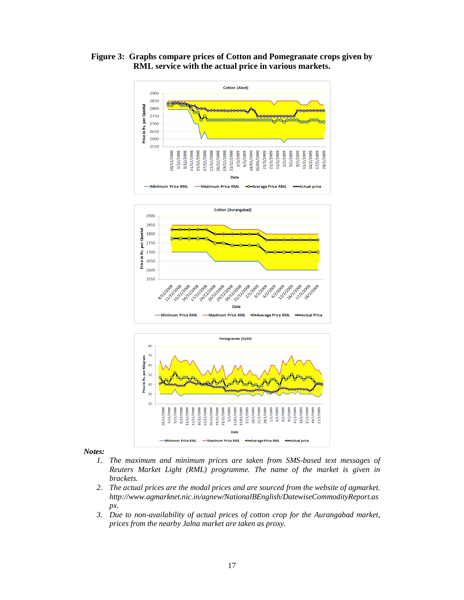





*Notes:*

- *1. The maximum and minimum prices are taken from SMS-based text messages of Reuters Market Light (RML) programme. The name of the market is given in brackets.*
- *2. The actual prices are the modal prices and are sourced from the website of agmarket. http://www.agmarknet.nic.in/agnew/NationalBEnglish/DatewiseCommodityReport.as px.*
- *3. Due to non-availability of actual prices of cotton crop for the Aurangabad market, prices from the nearby Jalna market are taken as proxy.*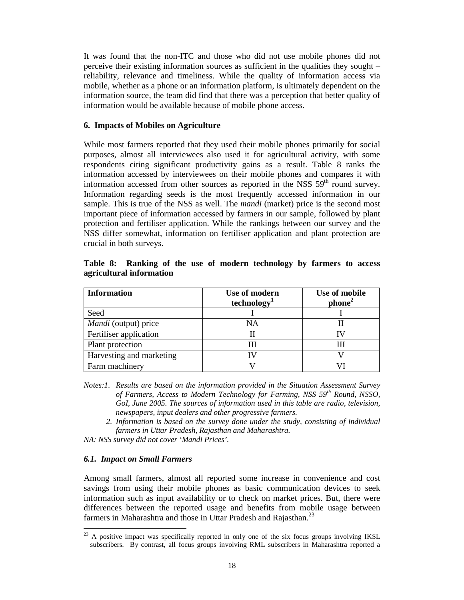It was found that the non-ITC and those who did not use mobile phones did not perceive their existing information sources as sufficient in the qualities they sought – reliability, relevance and timeliness. While the quality of information access via mobile, whether as a phone or an information platform, is ultimately dependent on the information source, the team did find that there was a perception that better quality of information would be available because of mobile phone access.

#### **6. Impacts of Mobiles on Agriculture**

While most farmers reported that they used their mobile phones primarily for social purposes, almost all interviewees also used it for agricultural activity, with some respondents citing significant productivity gains as a result. Table 8 ranks the information accessed by interviewees on their mobile phones and compares it with information accessed from other sources as reported in the NSS  $59<sup>th</sup>$  round survey. Information regarding seeds is the most frequently accessed information in our sample. This is true of the NSS as well. The *mandi* (market) price is the second most important piece of information accessed by farmers in our sample, followed by plant protection and fertiliser application. While the rankings between our survey and the NSS differ somewhat, information on fertiliser application and plant protection are crucial in both surveys.

| <b>Information</b>          | Use of modern           | Use of mobile      |
|-----------------------------|-------------------------|--------------------|
|                             | technology <sup>1</sup> | phone <sup>2</sup> |
| Seed                        |                         |                    |
| <i>Mandi</i> (output) price | ΝA                      |                    |
| Fertiliser application      |                         |                    |
| Plant protection            | Ш                       |                    |
| Harvesting and marketing    |                         |                    |
| Farm machinery              |                         |                    |

**Table 8: Ranking of the use of modern technology by farmers to access agricultural information**

- *Notes:1. Results are based on the information provided in the Situation Assessment Survey of Farmers, Access to Modern Technology for Farming, NSS 59th Round, NSSO,*  GoI, June 2005. The sources of information used in this table are radio, television, *newspapers, input dealers and other progressive farmers.* 
	- *2. Information is based on the survey done under the study, consisting of individual farmers in Uttar Pradesh, Rajasthan and Maharashtra.*

*NA: NSS survey did not cover 'Mandi Prices'.* 

# *6.1. Impact on Small Farmers*

-

Among small farmers, almost all reported some increase in convenience and cost savings from using their mobile phones as basic communication devices to seek information such as input availability or to check on market prices. But, there were differences between the reported usage and benefits from mobile usage between farmers in Maharashtra and those in Uttar Pradesh and Rajasthan.<sup>23</sup>

 $^{23}$  A positive impact was specifically reported in only one of the six focus groups involving IKSL subscribers. By contrast, all focus groups involving RML subscribers in Maharashtra reported a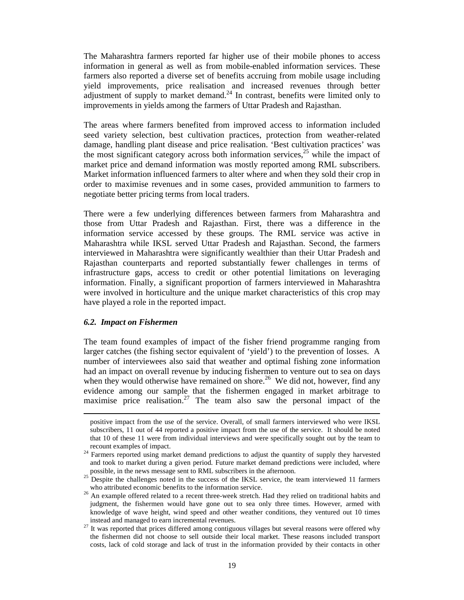The Maharashtra farmers reported far higher use of their mobile phones to access information in general as well as from mobile-enabled information services. These farmers also reported a diverse set of benefits accruing from mobile usage including yield improvements, price realisation and increased revenues through better adjustment of supply to market demand.<sup>24</sup> In contrast, benefits were limited only to improvements in yields among the farmers of Uttar Pradesh and Rajasthan.

The areas where farmers benefited from improved access to information included seed variety selection, best cultivation practices, protection from weather-related damage, handling plant disease and price realisation. 'Best cultivation practices' was the most significant category across both information services, $^{25}$  while the impact of market price and demand information was mostly reported among RML subscribers. Market information influenced farmers to alter where and when they sold their crop in order to maximise revenues and in some cases, provided ammunition to farmers to negotiate better pricing terms from local traders.

There were a few underlying differences between farmers from Maharashtra and those from Uttar Pradesh and Rajasthan. First, there was a difference in the information service accessed by these groups. The RML service was active in Maharashtra while IKSL served Uttar Pradesh and Rajasthan. Second, the farmers interviewed in Maharashtra were significantly wealthier than their Uttar Pradesh and Rajasthan counterparts and reported substantially fewer challenges in terms of infrastructure gaps, access to credit or other potential limitations on leveraging information. Finally, a significant proportion of farmers interviewed in Maharashtra were involved in horticulture and the unique market characteristics of this crop may have played a role in the reported impact.

#### *6.2. Impact on Fishermen*

 $\overline{a}$ 

The team found examples of impact of the fisher friend programme ranging from larger catches (the fishing sector equivalent of 'yield') to the prevention of losses. A number of interviewees also said that weather and optimal fishing zone information had an impact on overall revenue by inducing fishermen to venture out to sea on days when they would otherwise have remained on shore.<sup>26</sup> We did not, however, find any evidence among our sample that the fishermen engaged in market arbitrage to maximise price realisation.<sup>27</sup> The team also saw the personal impact of the

positive impact from the use of the service. Overall, of small farmers interviewed who were IKSL subscribers, 11 out of 44 reported a positive impact from the use of the service. It should be noted that 10 of these 11 were from individual interviews and were specifically sought out by the team to recount examples of impact.

<sup>&</sup>lt;sup>24</sup> Farmers reported using market demand predictions to adjust the quantity of supply they harvested and took to market during a given period. Future market demand predictions were included, where possible, in the news message sent to RML subscribers in the afternoon.

<sup>&</sup>lt;sup>25</sup> Despite the challenges noted in the success of the IKSL service, the team interviewed 11 farmers who attributed economic benefits to the information service.

<sup>&</sup>lt;sup>26</sup> An example offered related to a recent three-week stretch. Had they relied on traditional habits and judgment, the fishermen would have gone out to sea only three times. However, armed with knowledge of wave height, wind speed and other weather conditions, they ventured out 10 times instead and managed to earn incremental revenues.

<sup>&</sup>lt;sup>27</sup> It was reported that prices differed among contiguous villages but several reasons were offered why the fishermen did not choose to sell outside their local market. These reasons included transport costs, lack of cold storage and lack of trust in the information provided by their contacts in other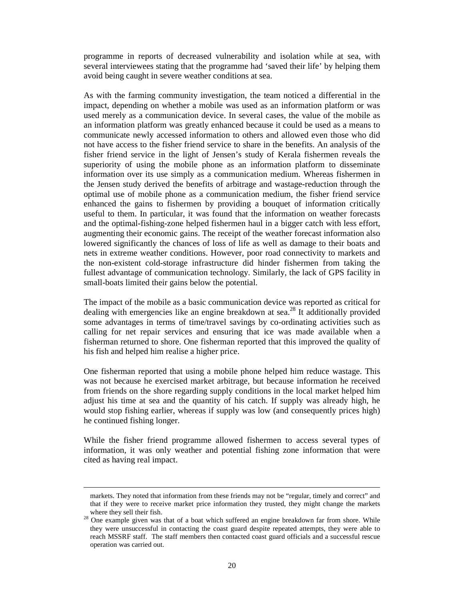programme in reports of decreased vulnerability and isolation while at sea, with several interviewees stating that the programme had 'saved their life' by helping them avoid being caught in severe weather conditions at sea.

As with the farming community investigation, the team noticed a differential in the impact, depending on whether a mobile was used as an information platform or was used merely as a communication device. In several cases, the value of the mobile as an information platform was greatly enhanced because it could be used as a means to communicate newly accessed information to others and allowed even those who did not have access to the fisher friend service to share in the benefits. An analysis of the fisher friend service in the light of Jensen's study of Kerala fishermen reveals the superiority of using the mobile phone as an information platform to disseminate information over its use simply as a communication medium. Whereas fishermen in the Jensen study derived the benefits of arbitrage and wastage-reduction through the optimal use of mobile phone as a communication medium, the fisher friend service enhanced the gains to fishermen by providing a bouquet of information critically useful to them. In particular, it was found that the information on weather forecasts and the optimal-fishing-zone helped fishermen haul in a bigger catch with less effort, augmenting their economic gains. The receipt of the weather forecast information also lowered significantly the chances of loss of life as well as damage to their boats and nets in extreme weather conditions. However, poor road connectivity to markets and the non-existent cold-storage infrastructure did hinder fishermen from taking the fullest advantage of communication technology. Similarly, the lack of GPS facility in small-boats limited their gains below the potential.

The impact of the mobile as a basic communication device was reported as critical for dealing with emergencies like an engine breakdown at sea.<sup>28</sup> It additionally provided some advantages in terms of time/travel savings by co-ordinating activities such as calling for net repair services and ensuring that ice was made available when a fisherman returned to shore. One fisherman reported that this improved the quality of his fish and helped him realise a higher price.

One fisherman reported that using a mobile phone helped him reduce wastage. This was not because he exercised market arbitrage, but because information he received from friends on the shore regarding supply conditions in the local market helped him adjust his time at sea and the quantity of his catch. If supply was already high, he would stop fishing earlier, whereas if supply was low (and consequently prices high) he continued fishing longer.

While the fisher friend programme allowed fishermen to access several types of information, it was only weather and potential fishing zone information that were cited as having real impact.

 $\overline{a}$ 

markets. They noted that information from these friends may not be "regular, timely and correct" and that if they were to receive market price information they trusted, they might change the markets where they sell their fish.

<sup>&</sup>lt;sup>28</sup> One example given was that of a boat which suffered an engine breakdown far from shore. While they were unsuccessful in contacting the coast guard despite repeated attempts, they were able to reach MSSRF staff. The staff members then contacted coast guard officials and a successful rescue operation was carried out.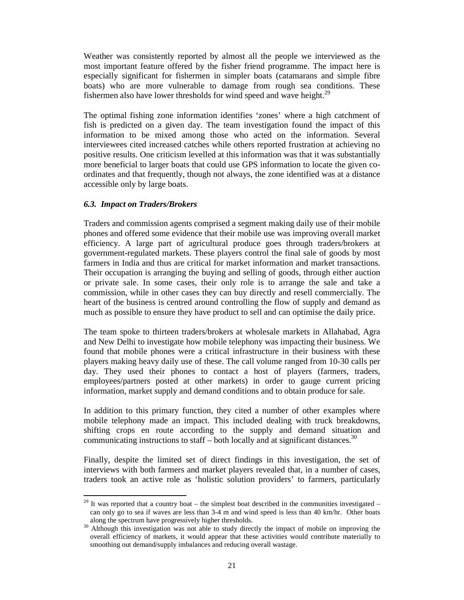Weather was consistently reported by almost all the people we interviewed as the most important feature offered by the fisher friend programme. The impact here is especially significant for fishermen in simpler boats (catamarans and simple fibre boats) who are more vulnerable to damage from rough sea conditions. These fishermen also have lower thresholds for wind speed and wave height. $^{29}$ 

The optimal fishing zone information identifies 'zones' where a high catchment of fish is predicted on a given day. The team investigation found the impact of this information to be mixed among those who acted on the information. Several interviewees cited increased catches while others reported frustration at achieving no positive results. One criticism levelled at this information was that it was substantially more beneficial to larger boats that could use GPS information to locate the given coordinates and that frequently, though not always, the zone identified was at a distance accessible only by large boats.

# *6.3. Impact on Traders/Brokers*

Traders and commission agents comprised a segment making daily use of their mobile phones and offered some evidence that their mobile use was improving overall market efficiency. A large part of agricultural produce goes through traders/brokers at government-regulated markets. These players control the final sale of goods by most farmers in India and thus are critical for market information and market transactions. Their occupation is arranging the buying and selling of goods, through either auction or private sale. In some cases, their only role is to arrange the sale and take a commission, while in other cases they can buy directly and resell commercially. The heart of the business is centred around controlling the flow of supply and demand as much as possible to ensure they have product to sell and can optimise the daily price.

The team spoke to thirteen traders/brokers at wholesale markets in Allahabad, Agra and New Delhi to investigate how mobile telephony was impacting their business. We found that mobile phones were a critical infrastructure in their business with these players making heavy daily use of these. The call volume ranged from 10-30 calls per day. They used their phones to contact a host of players (farmers, traders, employees/partners posted at other markets) in order to gauge current pricing information, market supply and demand conditions and to obtain produce for sale.

In addition to this primary function, they cited a number of other examples where mobile telephony made an impact. This included dealing with truck breakdowns, shifting crops en route according to the supply and demand situation and communicating instructions to staff – both locally and at significant distances.<sup>30</sup>

Finally, despite the limited set of direct findings in this investigation, the set of interviews with both farmers and market players revealed that, in a number of cases, traders took an active role as 'holistic solution providers' to farmers, particularly

<sup>-</sup> $29$  It was reported that a country boat – the simplest boat described in the communities investigated – can only go to sea if waves are less than  $3-4$  m and wind speed is less than  $40$  km/hr. Other boats along the spectrum have progressively higher thresholds.

<sup>&</sup>lt;sup>30</sup> Although this investigation was not able to study directly the impact of mobile on improving the overall efficiency of markets, it would appear that these activities would contribute materially to smoothing out demand/supply imbalances and reducing overall wastage.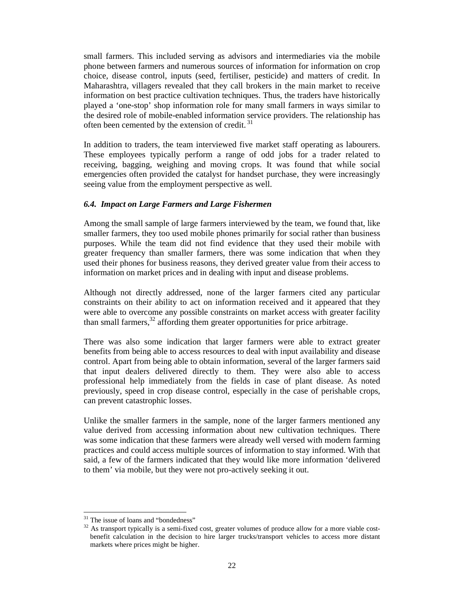small farmers. This included serving as advisors and intermediaries via the mobile phone between farmers and numerous sources of information for information on crop choice, disease control, inputs (seed, fertiliser, pesticide) and matters of credit. In Maharashtra, villagers revealed that they call brokers in the main market to receive information on best practice cultivation techniques. Thus, the traders have historically played a 'one-stop' shop information role for many small farmers in ways similar to the desired role of mobile-enabled information service providers. The relationship has often been cemented by the extension of credit.<sup>31</sup>

In addition to traders, the team interviewed five market staff operating as labourers. These employees typically perform a range of odd jobs for a trader related to receiving, bagging, weighing and moving crops. It was found that while social emergencies often provided the catalyst for handset purchase, they were increasingly seeing value from the employment perspective as well.

# *6.4. Impact on Large Farmers and Large Fishermen*

Among the small sample of large farmers interviewed by the team, we found that, like smaller farmers, they too used mobile phones primarily for social rather than business purposes. While the team did not find evidence that they used their mobile with greater frequency than smaller farmers, there was some indication that when they used their phones for business reasons, they derived greater value from their access to information on market prices and in dealing with input and disease problems.

Although not directly addressed, none of the larger farmers cited any particular constraints on their ability to act on information received and it appeared that they were able to overcome any possible constraints on market access with greater facility than small farmers, $32$  affording them greater opportunities for price arbitrage.

There was also some indication that larger farmers were able to extract greater benefits from being able to access resources to deal with input availability and disease control. Apart from being able to obtain information, several of the larger farmers said that input dealers delivered directly to them. They were also able to access professional help immediately from the fields in case of plant disease. As noted previously, speed in crop disease control, especially in the case of perishable crops, can prevent catastrophic losses.

Unlike the smaller farmers in the sample, none of the larger farmers mentioned any value derived from accessing information about new cultivation techniques. There was some indication that these farmers were already well versed with modern farming practices and could access multiple sources of information to stay informed. With that said, a few of the farmers indicated that they would like more information 'delivered to them' via mobile, but they were not pro-actively seeking it out.

-

<sup>&</sup>lt;sup>31</sup> The issue of loans and "bondedness"

<sup>&</sup>lt;sup>32</sup> As transport typically is a semi-fixed cost, greater volumes of produce allow for a more viable costbenefit calculation in the decision to hire larger trucks/transport vehicles to access more distant markets where prices might be higher.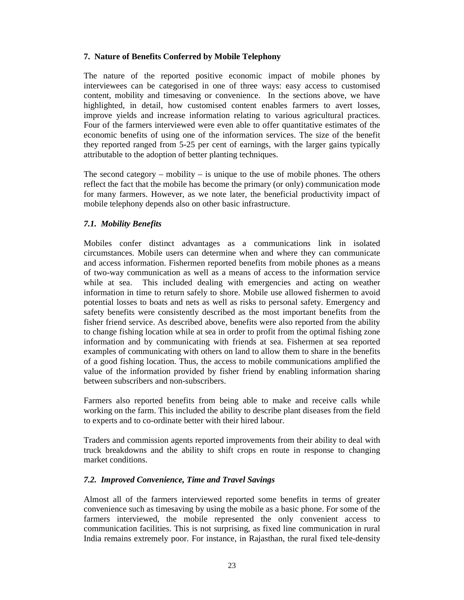# **7. Nature of Benefits Conferred by Mobile Telephony**

The nature of the reported positive economic impact of mobile phones by interviewees can be categorised in one of three ways: easy access to customised content, mobility and timesaving or convenience. In the sections above, we have highlighted, in detail, how customised content enables farmers to avert losses, improve yields and increase information relating to various agricultural practices. Four of the farmers interviewed were even able to offer quantitative estimates of the economic benefits of using one of the information services. The size of the benefit they reported ranged from 5-25 per cent of earnings, with the larger gains typically attributable to the adoption of better planting techniques.

The second category – mobility – is unique to the use of mobile phones. The others reflect the fact that the mobile has become the primary (or only) communication mode for many farmers. However, as we note later, the beneficial productivity impact of mobile telephony depends also on other basic infrastructure.

# *7.1. Mobility Benefits*

Mobiles confer distinct advantages as a communications link in isolated circumstances. Mobile users can determine when and where they can communicate and access information. Fishermen reported benefits from mobile phones as a means of two-way communication as well as a means of access to the information service while at sea. This included dealing with emergencies and acting on weather information in time to return safely to shore. Mobile use allowed fishermen to avoid potential losses to boats and nets as well as risks to personal safety. Emergency and safety benefits were consistently described as the most important benefits from the fisher friend service. As described above, benefits were also reported from the ability to change fishing location while at sea in order to profit from the optimal fishing zone information and by communicating with friends at sea. Fishermen at sea reported examples of communicating with others on land to allow them to share in the benefits of a good fishing location. Thus, the access to mobile communications amplified the value of the information provided by fisher friend by enabling information sharing between subscribers and non-subscribers.

Farmers also reported benefits from being able to make and receive calls while working on the farm. This included the ability to describe plant diseases from the field to experts and to co-ordinate better with their hired labour.

Traders and commission agents reported improvements from their ability to deal with truck breakdowns and the ability to shift crops en route in response to changing market conditions.

# *7.2. Improved Convenience, Time and Travel Savings*

Almost all of the farmers interviewed reported some benefits in terms of greater convenience such as timesaving by using the mobile as a basic phone. For some of the farmers interviewed, the mobile represented the only convenient access to communication facilities. This is not surprising, as fixed line communication in rural India remains extremely poor. For instance, in Rajasthan, the rural fixed tele-density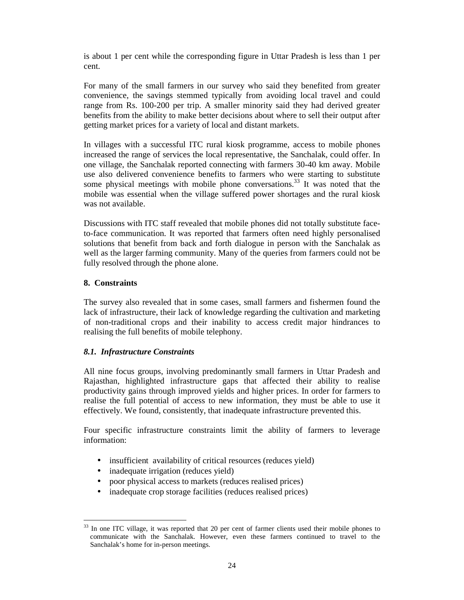is about 1 per cent while the corresponding figure in Uttar Pradesh is less than 1 per cent.

For many of the small farmers in our survey who said they benefited from greater convenience, the savings stemmed typically from avoiding local travel and could range from Rs. 100-200 per trip. A smaller minority said they had derived greater benefits from the ability to make better decisions about where to sell their output after getting market prices for a variety of local and distant markets.

In villages with a successful ITC rural kiosk programme, access to mobile phones increased the range of services the local representative, the Sanchalak, could offer. In one village, the Sanchalak reported connecting with farmers 30-40 km away. Mobile use also delivered convenience benefits to farmers who were starting to substitute some physical meetings with mobile phone conversations.<sup>33</sup> It was noted that the mobile was essential when the village suffered power shortages and the rural kiosk was not available.

Discussions with ITC staff revealed that mobile phones did not totally substitute faceto-face communication. It was reported that farmers often need highly personalised solutions that benefit from back and forth dialogue in person with the Sanchalak as well as the larger farming community. Many of the queries from farmers could not be fully resolved through the phone alone.

# **8. Constraints**

The survey also revealed that in some cases, small farmers and fishermen found the lack of infrastructure, their lack of knowledge regarding the cultivation and marketing of non-traditional crops and their inability to access credit major hindrances to realising the full benefits of mobile telephony.

# *8.1. Infrastructure Constraints*

All nine focus groups, involving predominantly small farmers in Uttar Pradesh and Rajasthan, highlighted infrastructure gaps that affected their ability to realise productivity gains through improved yields and higher prices. In order for farmers to realise the full potential of access to new information, they must be able to use it effectively. We found, consistently, that inadequate infrastructure prevented this.

Four specific infrastructure constraints limit the ability of farmers to leverage information:

- insufficient availability of critical resources (reduces yield)
- inadequate irrigation (reduces yield)
- poor physical access to markets (reduces realised prices)
- inadequate crop storage facilities (reduces realised prices)

<sup>-</sup><sup>33</sup> In one ITC village, it was reported that 20 per cent of farmer clients used their mobile phones to communicate with the Sanchalak. However, even these farmers continued to travel to the Sanchalak's home for in-person meetings.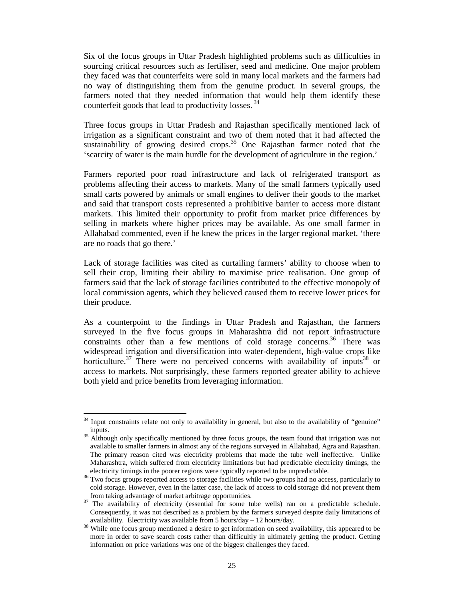Six of the focus groups in Uttar Pradesh highlighted problems such as difficulties in sourcing critical resources such as fertiliser, seed and medicine. One major problem they faced was that counterfeits were sold in many local markets and the farmers had no way of distinguishing them from the genuine product. In several groups, the farmers noted that they needed information that would help them identify these counterfeit goods that lead to productivity losses.  $34$ 

Three focus groups in Uttar Pradesh and Rajasthan specifically mentioned lack of irrigation as a significant constraint and two of them noted that it had affected the sustainability of growing desired crops.<sup>35</sup> One Rajasthan farmer noted that the 'scarcity of water is the main hurdle for the development of agriculture in the region.'

Farmers reported poor road infrastructure and lack of refrigerated transport as problems affecting their access to markets. Many of the small farmers typically used small carts powered by animals or small engines to deliver their goods to the market and said that transport costs represented a prohibitive barrier to access more distant markets. This limited their opportunity to profit from market price differences by selling in markets where higher prices may be available. As one small farmer in Allahabad commented, even if he knew the prices in the larger regional market, 'there are no roads that go there.'

Lack of storage facilities was cited as curtailing farmers' ability to choose when to sell their crop, limiting their ability to maximise price realisation. One group of farmers said that the lack of storage facilities contributed to the effective monopoly of local commission agents, which they believed caused them to receive lower prices for their produce.

As a counterpoint to the findings in Uttar Pradesh and Rajasthan, the farmers surveyed in the five focus groups in Maharashtra did not report infrastructure constraints other than a few mentions of cold storage concerns.<sup>36</sup> There was widespread irrigation and diversification into water-dependent, high-value crops like horticulture.<sup>37</sup> There were no perceived concerns with availability of inputs<sup>38</sup> or access to markets. Not surprisingly, these farmers reported greater ability to achieve both yield and price benefits from leveraging information.

-

 $34$  Input constraints relate not only to availability in general, but also to the availability of "genuine" inputs.

<sup>&</sup>lt;sup>35</sup> Although only specifically mentioned by three focus groups, the team found that irrigation was not available to smaller farmers in almost any of the regions surveyed in Allahabad, Agra and Rajasthan. The primary reason cited was electricity problems that made the tube well ineffective. Unlike Maharashtra, which suffered from electricity limitations but had predictable electricity timings, the electricity timings in the poorer regions were typically reported to be unpredictable.

<sup>&</sup>lt;sup>36</sup> Two focus groups reported access to storage facilities while two groups had no access, particularly to cold storage. However, even in the latter case, the lack of access to cold storage did not prevent them from taking advantage of market arbitrage opportunities.

<sup>&</sup>lt;sup>37</sup> The availability of electricity (essential for some tube wells) ran on a predictable schedule. Consequently, it was not described as a problem by the farmers surveyed despite daily limitations of availability. Electricity was available from 5 hours/day – 12 hours/day.

<sup>&</sup>lt;sup>38</sup> While one focus group mentioned a desire to get information on seed availability, this appeared to be more in order to save search costs rather than difficultly in ultimately getting the product. Getting information on price variations was one of the biggest challenges they faced.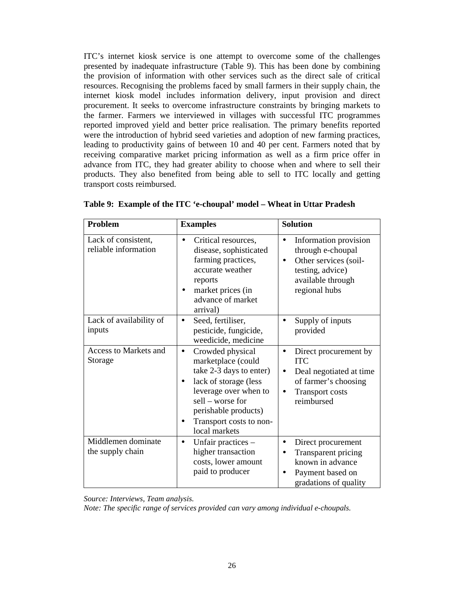ITC's internet kiosk service is one attempt to overcome some of the challenges presented by inadequate infrastructure (Table 9). This has been done by combining the provision of information with other services such as the direct sale of critical resources. Recognising the problems faced by small farmers in their supply chain, the internet kiosk model includes information delivery, input provision and direct procurement. It seeks to overcome infrastructure constraints by bringing markets to the farmer. Farmers we interviewed in villages with successful ITC programmes reported improved yield and better price realisation. The primary benefits reported were the introduction of hybrid seed varieties and adoption of new farming practices, leading to productivity gains of between 10 and 40 per cent. Farmers noted that by receiving comparative market pricing information as well as a firm price offer in advance from ITC, they had greater ability to choose when and where to sell their products. They also benefited from being able to sell to ITC locally and getting transport costs reimbursed.

| Problem                                     | <b>Examples</b>                                                                                                                                                                                                          | <b>Solution</b>                                                                                                                                          |
|---------------------------------------------|--------------------------------------------------------------------------------------------------------------------------------------------------------------------------------------------------------------------------|----------------------------------------------------------------------------------------------------------------------------------------------------------|
| Lack of consistent,<br>reliable information | Critical resources,<br>disease, sophisticated<br>farming practices,<br>accurate weather<br>reports<br>market prices (in<br>advance of market<br>arrival)                                                                 | Information provision<br>through e-choupal<br>Other services (soil-<br>$\bullet$<br>testing, advice)<br>available through<br>regional hubs               |
| Lack of availability of<br>inputs           | Seed, fertiliser,<br>pesticide, fungicide,<br>weedicide, medicine                                                                                                                                                        | Supply of inputs<br>provided                                                                                                                             |
| <b>Access to Markets and</b><br>Storage     | Crowded physical<br>$\bullet$<br>marketplace (could<br>take 2-3 days to enter)<br>lack of storage (less<br>leverage over when to<br>sell – worse for<br>perishable products)<br>Transport costs to non-<br>local markets | Direct procurement by<br>$\bullet$<br><b>ITC</b><br>Deal negotiated at time<br>of farmer's choosing<br><b>Transport costs</b><br>$\bullet$<br>reimbursed |
| Middlemen dominate<br>the supply chain      | Unfair practices -<br>$\bullet$<br>higher transaction<br>costs, lower amount<br>paid to producer                                                                                                                         | Direct procurement<br>$\bullet$<br>Transparent pricing<br>known in advance<br>Payment based on<br>gradations of quality                                  |

|  | Table 9: Example of the ITC 'e-choupal' model – Wheat in Uttar Pradesh |  |  |
|--|------------------------------------------------------------------------|--|--|
|  |                                                                        |  |  |

*Source: Interviews, Team analysis.* 

*Note: The specific range of services provided can vary among individual e-choupals.*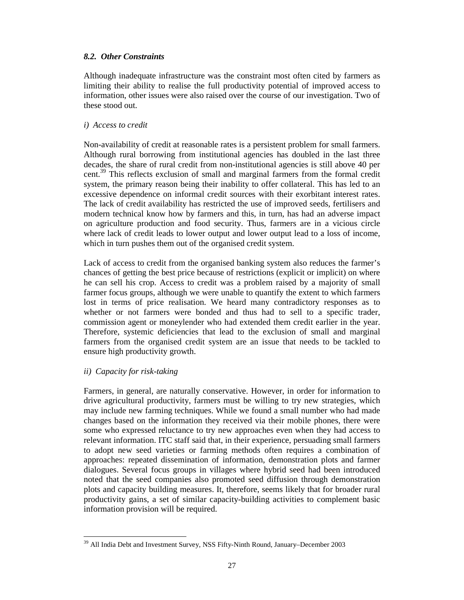# *8.2. Other Constraints*

Although inadequate infrastructure was the constraint most often cited by farmers as limiting their ability to realise the full productivity potential of improved access to information, other issues were also raised over the course of our investigation. Two of these stood out.

# *i) Access to credit*

Non-availability of credit at reasonable rates is a persistent problem for small farmers. Although rural borrowing from institutional agencies has doubled in the last three decades, the share of rural credit from non-institutional agencies is still above 40 per cent.<sup>39</sup> This reflects exclusion of small and marginal farmers from the formal credit system, the primary reason being their inability to offer collateral. This has led to an excessive dependence on informal credit sources with their exorbitant interest rates. The lack of credit availability has restricted the use of improved seeds, fertilisers and modern technical know how by farmers and this, in turn, has had an adverse impact on agriculture production and food security. Thus, farmers are in a vicious circle where lack of credit leads to lower output and lower output lead to a loss of income, which in turn pushes them out of the organised credit system.

Lack of access to credit from the organised banking system also reduces the farmer's chances of getting the best price because of restrictions (explicit or implicit) on where he can sell his crop. Access to credit was a problem raised by a majority of small farmer focus groups, although we were unable to quantify the extent to which farmers lost in terms of price realisation. We heard many contradictory responses as to whether or not farmers were bonded and thus had to sell to a specific trader, commission agent or moneylender who had extended them credit earlier in the year. Therefore, systemic deficiencies that lead to the exclusion of small and marginal farmers from the organised credit system are an issue that needs to be tackled to ensure high productivity growth.

# *ii) Capacity for risk-taking*

Farmers, in general, are naturally conservative. However, in order for information to drive agricultural productivity, farmers must be willing to try new strategies, which may include new farming techniques. While we found a small number who had made changes based on the information they received via their mobile phones, there were some who expressed reluctance to try new approaches even when they had access to relevant information. ITC staff said that, in their experience, persuading small farmers to adopt new seed varieties or farming methods often requires a combination of approaches: repeated dissemination of information, demonstration plots and farmer dialogues. Several focus groups in villages where hybrid seed had been introduced noted that the seed companies also promoted seed diffusion through demonstration plots and capacity building measures. It, therefore, seems likely that for broader rural productivity gains, a set of similar capacity-building activities to complement basic information provision will be required.

<sup>-</sup><sup>39</sup> All India Debt and Investment Survey, NSS Fifty-Ninth Round, January–December 2003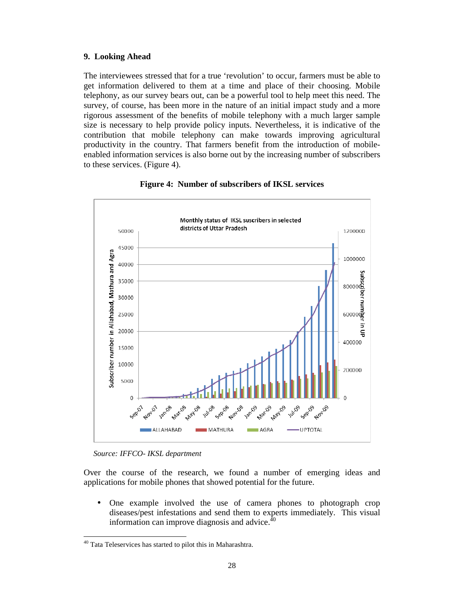# **9. Looking Ahead**

The interviewees stressed that for a true 'revolution' to occur, farmers must be able to get information delivered to them at a time and place of their choosing. Mobile telephony, as our survey bears out, can be a powerful tool to help meet this need. The survey, of course, has been more in the nature of an initial impact study and a more rigorous assessment of the benefits of mobile telephony with a much larger sample size is necessary to help provide policy inputs. Nevertheless, it is indicative of the contribution that mobile telephony can make towards improving agricultural productivity in the country. That farmers benefit from the introduction of mobileenabled information services is also borne out by the increasing number of subscribers to these services. (Figure 4).





*Source: IFFCO- IKSL department* 

-

Over the course of the research, we found a number of emerging ideas and applications for mobile phones that showed potential for the future.

• One example involved the use of camera phones to photograph crop diseases/pest infestations and send them to experts immediately. This visual information can improve diagnosis and advice. $4\overline{6}$ 

<sup>&</sup>lt;sup>40</sup> Tata Teleservices has started to pilot this in Maharashtra.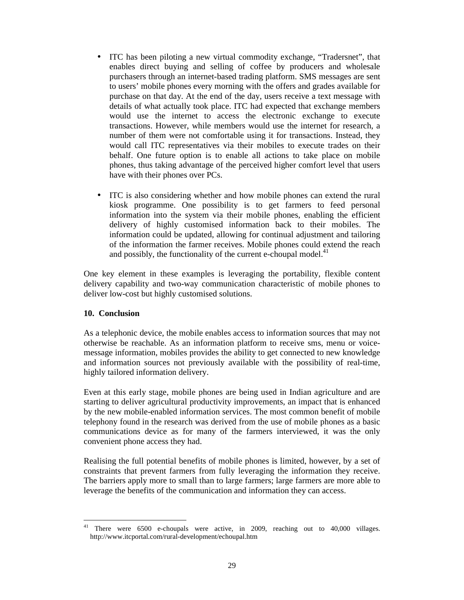- ITC has been piloting a new virtual commodity exchange, "Tradersnet", that enables direct buying and selling of coffee by producers and wholesale purchasers through an internet-based trading platform. SMS messages are sent to users' mobile phones every morning with the offers and grades available for purchase on that day. At the end of the day, users receive a text message with details of what actually took place. ITC had expected that exchange members would use the internet to access the electronic exchange to execute transactions. However, while members would use the internet for research, a number of them were not comfortable using it for transactions. Instead, they would call ITC representatives via their mobiles to execute trades on their behalf. One future option is to enable all actions to take place on mobile phones, thus taking advantage of the perceived higher comfort level that users have with their phones over PCs.
- ITC is also considering whether and how mobile phones can extend the rural kiosk programme. One possibility is to get farmers to feed personal information into the system via their mobile phones, enabling the efficient delivery of highly customised information back to their mobiles. The information could be updated, allowing for continual adjustment and tailoring of the information the farmer receives. Mobile phones could extend the reach and possibly, the functionality of the current e-choupal model. $41$

One key element in these examples is leveraging the portability, flexible content delivery capability and two-way communication characteristic of mobile phones to deliver low-cost but highly customised solutions.

# **10. Conclusion**

As a telephonic device, the mobile enables access to information sources that may not otherwise be reachable. As an information platform to receive sms, menu or voicemessage information, mobiles provides the ability to get connected to new knowledge and information sources not previously available with the possibility of real-time, highly tailored information delivery.

Even at this early stage, mobile phones are being used in Indian agriculture and are starting to deliver agricultural productivity improvements, an impact that is enhanced by the new mobile-enabled information services. The most common benefit of mobile telephony found in the research was derived from the use of mobile phones as a basic communications device as for many of the farmers interviewed, it was the only convenient phone access they had.

Realising the full potential benefits of mobile phones is limited, however, by a set of constraints that prevent farmers from fully leveraging the information they receive. The barriers apply more to small than to large farmers; large farmers are more able to leverage the benefits of the communication and information they can access.

<sup>-</sup><sup>41</sup> There were 6500 e-choupals were active, in 2009, reaching out to 40,000 villages. http://www.itcportal.com/rural-development/echoupal.htm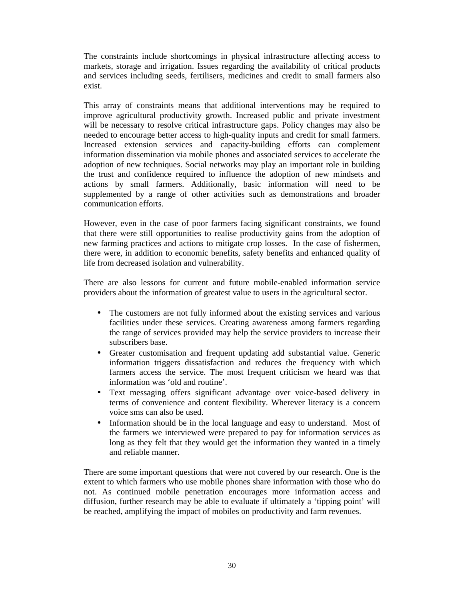The constraints include shortcomings in physical infrastructure affecting access to markets, storage and irrigation. Issues regarding the availability of critical products and services including seeds, fertilisers, medicines and credit to small farmers also exist.

This array of constraints means that additional interventions may be required to improve agricultural productivity growth. Increased public and private investment will be necessary to resolve critical infrastructure gaps. Policy changes may also be needed to encourage better access to high-quality inputs and credit for small farmers. Increased extension services and capacity-building efforts can complement information dissemination via mobile phones and associated services to accelerate the adoption of new techniques. Social networks may play an important role in building the trust and confidence required to influence the adoption of new mindsets and actions by small farmers. Additionally, basic information will need to be supplemented by a range of other activities such as demonstrations and broader communication efforts.

However, even in the case of poor farmers facing significant constraints, we found that there were still opportunities to realise productivity gains from the adoption of new farming practices and actions to mitigate crop losses. In the case of fishermen, there were, in addition to economic benefits, safety benefits and enhanced quality of life from decreased isolation and vulnerability.

There are also lessons for current and future mobile-enabled information service providers about the information of greatest value to users in the agricultural sector.

- The customers are not fully informed about the existing services and various facilities under these services. Creating awareness among farmers regarding the range of services provided may help the service providers to increase their subscribers base.
- Greater customisation and frequent updating add substantial value. Generic information triggers dissatisfaction and reduces the frequency with which farmers access the service. The most frequent criticism we heard was that information was 'old and routine'.
- Text messaging offers significant advantage over voice-based delivery in terms of convenience and content flexibility. Wherever literacy is a concern voice sms can also be used.
- Information should be in the local language and easy to understand. Most of the farmers we interviewed were prepared to pay for information services as long as they felt that they would get the information they wanted in a timely and reliable manner.

There are some important questions that were not covered by our research. One is the extent to which farmers who use mobile phones share information with those who do not. As continued mobile penetration encourages more information access and diffusion, further research may be able to evaluate if ultimately a 'tipping point' will be reached, amplifying the impact of mobiles on productivity and farm revenues.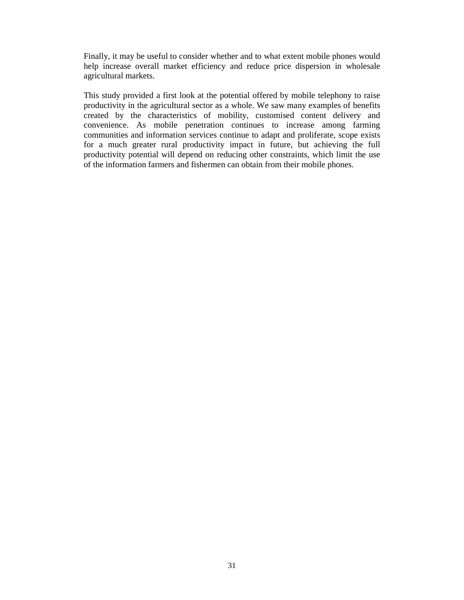Finally, it may be useful to consider whether and to what extent mobile phones would help increase overall market efficiency and reduce price dispersion in wholesale agricultural markets.

This study provided a first look at the potential offered by mobile telephony to raise productivity in the agricultural sector as a whole. We saw many examples of benefits created by the characteristics of mobility, customised content delivery and convenience. As mobile penetration continues to increase among farming communities and information services continue to adapt and proliferate, scope exists for a much greater rural productivity impact in future, but achieving the full productivity potential will depend on reducing other constraints, which limit the use of the information farmers and fishermen can obtain from their mobile phones.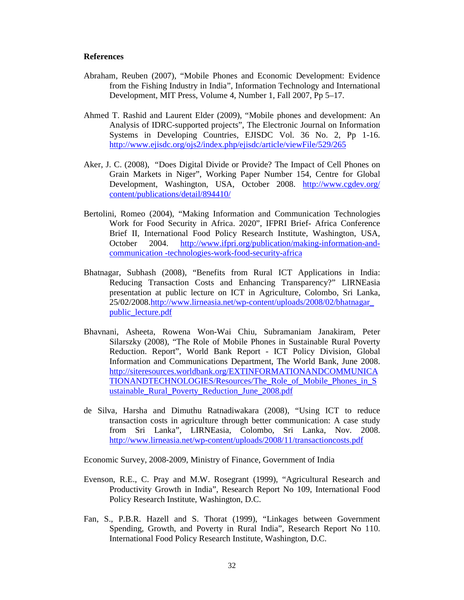#### **References**

- Abraham, Reuben (2007), "Mobile Phones and Economic Development: Evidence from the Fishing Industry in India", Information Technology and International Development, MIT Press, Volume 4, Number 1, Fall 2007, Pp 5–17.
- Ahmed T. Rashid and Laurent Elder (2009), "Mobile phones and development: An Analysis of IDRC-supported projects", The Electronic Journal on Information Systems in Developing Countries, EJISDC Vol. 36 No. 2, Pp 1-16. http://www.ejisdc.org/ojs2/index.php/ejisdc/article/viewFile/529/265
- Aker, J. C. (2008), "Does Digital Divide or Provide? The Impact of Cell Phones on Grain Markets in Niger", Working Paper Number 154, Centre for Global Development, Washington, USA, October 2008. http://www.cgdev.org/ content/publications/detail/894410/
- Bertolini, Romeo (2004), "Making Information and Communication Technologies Work for Food Security in Africa. 2020", IFPRI Brief- Africa Conference Brief II, International Food Policy Research Institute, Washington, USA, October 2004. http://www.ifpri.org/publication/making-information-andcommunication -technologies-work-food-security-africa
- Bhatnagar, Subhash (2008), "Benefits from Rural ICT Applications in India: Reducing Transaction Costs and Enhancing Transparency?" LIRNEasia presentation at public lecture on ICT in Agriculture, Colombo, Sri Lanka, 25/02/2008.http://www.lirneasia.net/wp-content/uploads/2008/02/bhatnagar\_ public\_lecture.pdf
- Bhavnani, Asheeta, Rowena Won-Wai Chiu, Subramaniam Janakiram, Peter Silarszky (2008), "The Role of Mobile Phones in Sustainable Rural Poverty Reduction. Report", World Bank Report - ICT Policy Division, Global Information and Communications Department, The World Bank, June 2008. http://siteresources.worldbank.org/EXTINFORMATIONANDCOMMUNICA TIONANDTECHNOLOGIES/Resources/The\_Role\_of\_Mobile\_Phones\_in\_S ustainable\_Rural\_Poverty\_Reduction\_June\_2008.pdf
- de Silva, Harsha and Dimuthu Ratnadiwakara (2008), "Using ICT to reduce transaction costs in agriculture through better communication: A case study from Sri Lanka", LIRNEasia, Colombo, Sri Lanka, Nov. 2008. http://www.lirneasia.net/wp-content/uploads/2008/11/transactioncosts.pdf

Economic Survey, 2008-2009, Ministry of Finance, Government of India

- Evenson, R.E., C. Pray and M.W. Rosegrant (1999), "Agricultural Research and Productivity Growth in India", Research Report No 109, International Food Policy Research Institute, Washington, D.C.
- Fan, S., P.B.R. Hazell and S. Thorat (1999), "Linkages between Government Spending, Growth, and Poverty in Rural India", Research Report No 110. International Food Policy Research Institute, Washington, D.C.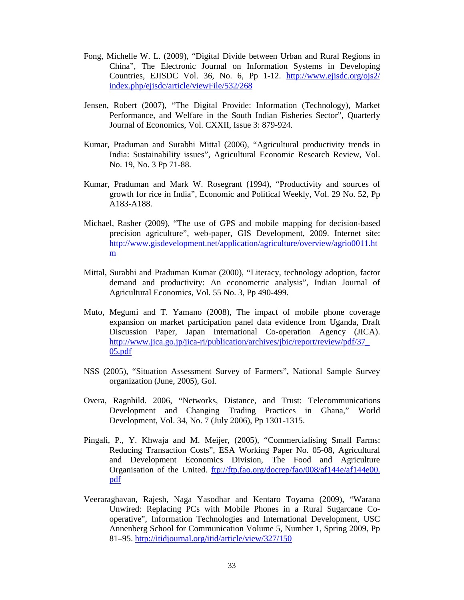- Fong, Michelle W. L. (2009), "Digital Divide between Urban and Rural Regions in China", The Electronic Journal on Information Systems in Developing Countries, EJISDC Vol. 36, No. 6, Pp 1-12. http://www.ejisdc.org/ojs2/ index.php/ejisdc/article/viewFile/532/268
- Jensen, Robert (2007), "The Digital Provide: Information (Technology), Market Performance, and Welfare in the South Indian Fisheries Sector", Quarterly Journal of Economics, Vol. CXXII, Issue 3: 879-924.
- Kumar, Praduman and Surabhi Mittal (2006), "Agricultural productivity trends in India: Sustainability issues", Agricultural Economic Research Review, Vol. No. 19, No. 3 Pp 71-88.
- Kumar, Praduman and Mark W. Rosegrant (1994), "Productivity and sources of growth for rice in India", Economic and Political Weekly, Vol. 29 No. 52, Pp A183-A188.
- Michael, Rasher (2009), "The use of GPS and mobile mapping for decision-based precision agriculture", web-paper, GIS Development, 2009. Internet site: http://www.gisdevelopment.net/application/agriculture/overview/agrio0011.ht m
- Mittal, Surabhi and Praduman Kumar (2000), "Literacy, technology adoption, factor demand and productivity: An econometric analysis", Indian Journal of Agricultural Economics, Vol. 55 No. 3, Pp 490-499.
- Muto, Megumi and T. Yamano (2008), The impact of mobile phone coverage expansion on market participation panel data evidence from Uganda, Draft Discussion Paper, Japan International Co-operation Agency (JICA). http://www.jica.go.jp/jica-ri/publication/archives/jbic/report/review/pdf/37\_ 05.pdf
- NSS (2005), "Situation Assessment Survey of Farmers", National Sample Survey organization (June, 2005), GoI.
- Overa, Ragnhild. 2006, "Networks, Distance, and Trust: Telecommunications Development and Changing Trading Practices in Ghana," World Development, Vol. 34, No. 7 (July 2006), Pp 1301-1315.
- Pingali, P., Y. Khwaja and M. Meijer, (2005), "Commercialising Small Farms: Reducing Transaction Costs", ESA Working Paper No. 05-08, Agricultural and Development Economics Division, The Food and Agriculture Organisation of the United. ftp://ftp.fao.org/docrep/fao/008/af144e/af144e00. pdf
- Veeraraghavan, Rajesh, Naga Yasodhar and Kentaro Toyama (2009), "Warana Unwired: Replacing PCs with Mobile Phones in a Rural Sugarcane Cooperative", Information Technologies and International Development, USC Annenberg School for Communication Volume 5, Number 1, Spring 2009, Pp 81–95. http://itidjournal.org/itid/article/view/327/150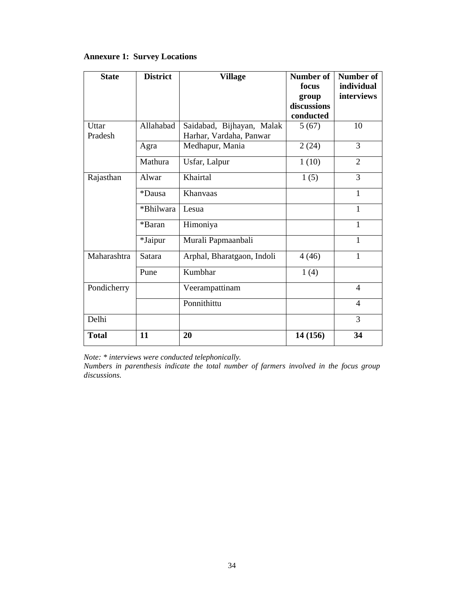# **Annexure 1: Survey Locations**

| <b>State</b>          | <b>District</b> | <b>Village</b>             | Number of<br>focus<br>group<br>discussions<br>conducted | Number of<br>individual<br>interviews |
|-----------------------|-----------------|----------------------------|---------------------------------------------------------|---------------------------------------|
| Uttar                 | Allahabad       | Saidabad, Bijhayan, Malak  | 5(67)                                                   | 10                                    |
| Pradesh               |                 | Harhar, Vardaha, Panwar    |                                                         |                                       |
|                       | Agra            | Medhapur, Mania            | 2(24)                                                   | 3                                     |
|                       | Mathura         | Usfar, Lalpur              | 1(10)                                                   | $\overline{2}$                        |
| Rajasthan             | Alwar           | Khairtal                   | 1(5)                                                    | 3                                     |
|                       | *Dausa          | Khanyaas                   |                                                         | 1                                     |
|                       | *Bhilwara       | Lesua                      |                                                         | 1                                     |
|                       | *Baran          | Himoniya                   |                                                         | $\mathbf{1}$                          |
|                       | *Jaipur         | Murali Papmaanbali         |                                                         | 1                                     |
| Maharashtra<br>Satara |                 | Arphal, Bharatgaon, Indoli | 4(46)                                                   | 1                                     |
|                       | Pune            | Kumbhar                    | 1(4)                                                    |                                       |
| Pondicherry           |                 | Veerampattinam             |                                                         | $\overline{4}$                        |
|                       |                 | Ponnithittu                |                                                         | $\overline{4}$                        |
| Delhi                 |                 |                            |                                                         | 3                                     |
| <b>Total</b>          | 11              | 20                         | 14 (156)                                                | 34                                    |

*Note: \* interviews were conducted telephonically.* 

*Numbers in parenthesis indicate the total number of farmers involved in the focus group discussions.*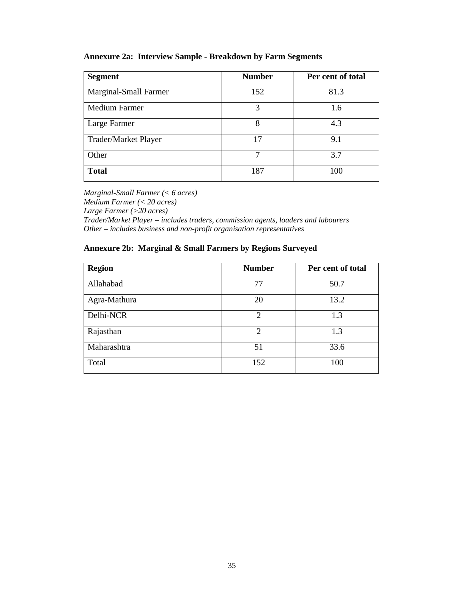# **Annexure 2a: Interview Sample - Breakdown by Farm Segments**

| <b>Segment</b>              | <b>Number</b> | Per cent of total |
|-----------------------------|---------------|-------------------|
| Marginal-Small Farmer       | 152           | 81.3              |
| Medium Farmer               | 3             | 1.6               |
| Large Farmer                | 8             | 4.3               |
| <b>Trader/Market Player</b> | 17            | 9.1               |
| Other                       | 7             | 3.7               |
| <b>Total</b>                | 187           | 100               |

*Marginal-Small Farmer (< 6 acres) Medium Farmer (< 20 acres) Large Farmer (>20 acres) Trader/Market Player – includes traders, commission agents, loaders and labourers Other – includes business and non-profit organisation representatives* 

## **Annexure 2b: Marginal & Small Farmers by Regions Surveyed**

| <b>Region</b> | <b>Number</b>  | Per cent of total |
|---------------|----------------|-------------------|
| Allahabad     | 77             | 50.7              |
| Agra-Mathura  | 20             | 13.2              |
| Delhi-NCR     | $\overline{2}$ | 1.3               |
| Rajasthan     | $\overline{c}$ | 1.3               |
| Maharashtra   | 51             | 33.6              |
| Total         | 152            | 100               |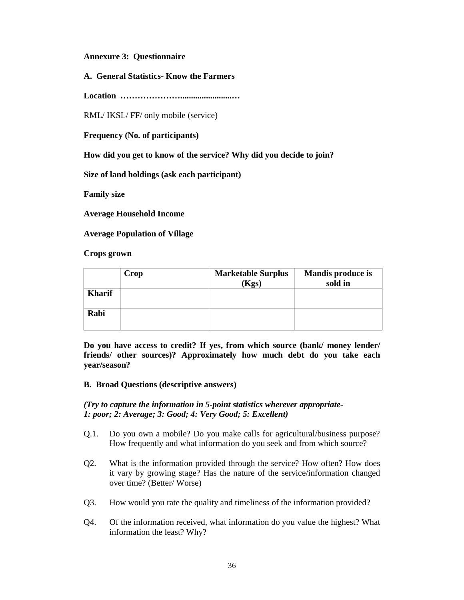**Annexure 3: Questionnaire**

**A. General Statistics- Know the Farmers**

**Location …………………........................…**

RML/ IKSL/ FF/ only mobile (service)

**Frequency (No. of participants)**

**How did you get to know of the service? Why did you decide to join?**

**Size of land holdings (ask each participant)**

**Family size**

**Average Household Income**

**Average Population of Village**

**Crops grown**

|               | Crop | <b>Marketable Surplus</b><br>(Kgs) | <b>Mandis produce is</b><br>sold in |
|---------------|------|------------------------------------|-------------------------------------|
| <b>Kharif</b> |      |                                    |                                     |
| Rabi          |      |                                    |                                     |

**Do you have access to credit? If yes, from which source (bank/ money lender/ friends/ other sources)? Approximately how much debt do you take each year/season?**

#### **B. Broad Questions (descriptive answers)**

*(Try to capture the information in 5-point statistics wherever appropriate-1: poor; 2: Average; 3: Good; 4: Very Good; 5: Excellent)*

- Q.1. Do you own a mobile? Do you make calls for agricultural/business purpose? How frequently and what information do you seek and from which source?
- Q2. What is the information provided through the service? How often? How does it vary by growing stage? Has the nature of the service/information changed over time? (Better/ Worse)
- Q3. How would you rate the quality and timeliness of the information provided?
- Q4. Of the information received, what information do you value the highest? What information the least? Why?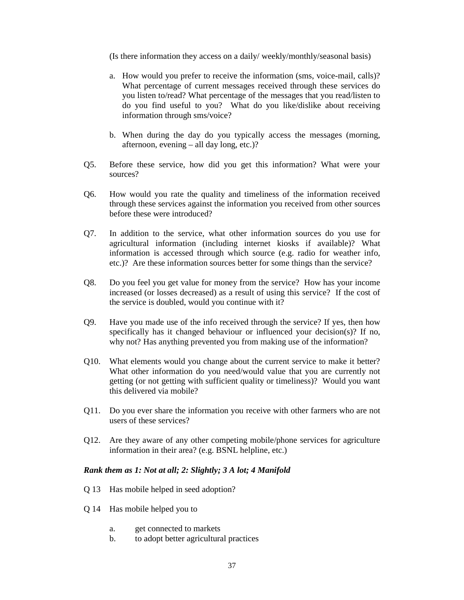(Is there information they access on a daily/ weekly/monthly/seasonal basis)

- a. How would you prefer to receive the information (sms, voice-mail, calls)? What percentage of current messages received through these services do you listen to/read? What percentage of the messages that you read/listen to do you find useful to you? What do you like/dislike about receiving information through sms/voice?
- b. When during the day do you typically access the messages (morning, afternoon, evening – all day long, etc.)?
- Q5. Before these service, how did you get this information? What were your sources?
- Q6. How would you rate the quality and timeliness of the information received through these services against the information you received from other sources before these were introduced?
- Q7. In addition to the service, what other information sources do you use for agricultural information (including internet kiosks if available)? What information is accessed through which source (e.g. radio for weather info, etc.)? Are these information sources better for some things than the service?
- Q8. Do you feel you get value for money from the service? How has your income increased (or losses decreased) as a result of using this service? If the cost of the service is doubled, would you continue with it?
- Q9. Have you made use of the info received through the service? If yes, then how specifically has it changed behaviour or influenced your decision(s)? If no, why not? Has anything prevented you from making use of the information?
- Q10. What elements would you change about the current service to make it better? What other information do you need/would value that you are currently not getting (or not getting with sufficient quality or timeliness)? Would you want this delivered via mobile?
- Q11. Do you ever share the information you receive with other farmers who are not users of these services?
- Q12. Are they aware of any other competing mobile/phone services for agriculture information in their area? (e.g. BSNL helpline, etc.)

#### *Rank them as 1: Not at all; 2: Slightly; 3 A lot; 4 Manifold*

- Q 13 Has mobile helped in seed adoption?
- Q 14 Has mobile helped you to
	- a. get connected to markets
	- b. to adopt better agricultural practices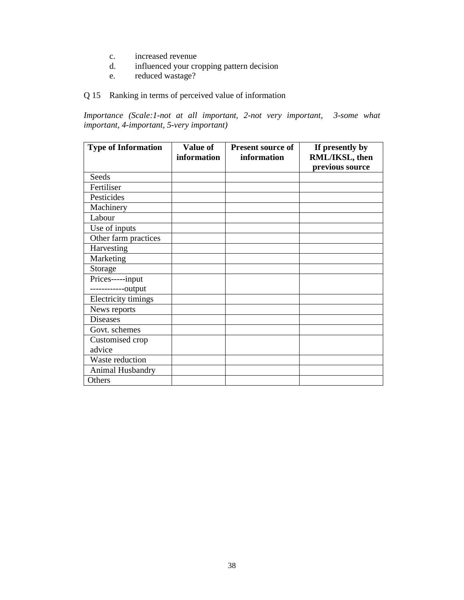- c. increased revenue
- d. influenced your cropping pattern decision
- e. reduced wastage?

# Q 15 Ranking in terms of perceived value of information

*Importance (Scale:1-not at all important, 2-not very important, 3-some what important, 4-important, 5-very important)* 

| <b>Type of Information</b>           | Value of<br>information | <b>Present source of</b><br>information | If presently by<br>RML/IKSL, then<br>previous source |
|--------------------------------------|-------------------------|-----------------------------------------|------------------------------------------------------|
| Seeds                                |                         |                                         |                                                      |
| Fertiliser                           |                         |                                         |                                                      |
| Pesticides                           |                         |                                         |                                                      |
| Machinery                            |                         |                                         |                                                      |
| Labour                               |                         |                                         |                                                      |
| Use of inputs                        |                         |                                         |                                                      |
| Other farm practices                 |                         |                                         |                                                      |
| Harvesting                           |                         |                                         |                                                      |
| Marketing                            |                         |                                         |                                                      |
| Storage                              |                         |                                         |                                                      |
| Prices-----input<br>----------output |                         |                                         |                                                      |
| Electricity timings                  |                         |                                         |                                                      |
| News reports                         |                         |                                         |                                                      |
| <b>Diseases</b>                      |                         |                                         |                                                      |
| Govt. schemes                        |                         |                                         |                                                      |
| Customised crop<br>advice            |                         |                                         |                                                      |
| Waste reduction                      |                         |                                         |                                                      |
| Animal Husbandry                     |                         |                                         |                                                      |
| Others                               |                         |                                         |                                                      |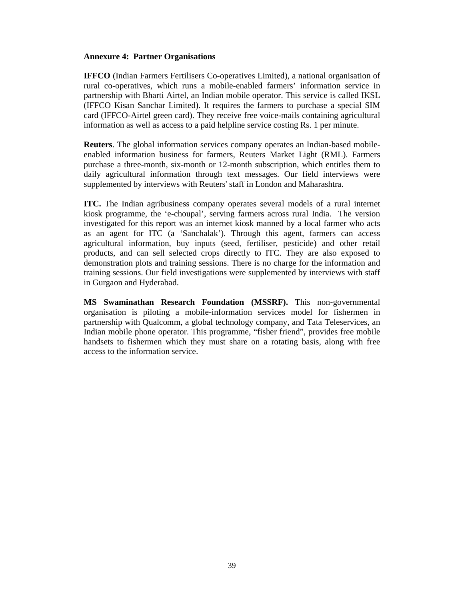## **Annexure 4: Partner Organisations**

**IFFCO** (Indian Farmers Fertilisers Co-operatives Limited), a national organisation of rural co-operatives, which runs a mobile-enabled farmers' information service in partnership with Bharti Airtel, an Indian mobile operator. This service is called IKSL (IFFCO Kisan Sanchar Limited). It requires the farmers to purchase a special SIM card (IFFCO-Airtel green card). They receive free voice-mails containing agricultural information as well as access to a paid helpline service costing Rs. 1 per minute.

**Reuters**. The global information services company operates an Indian-based mobileenabled information business for farmers, Reuters Market Light (RML). Farmers purchase a three-month, six-month or 12-month subscription, which entitles them to daily agricultural information through text messages. Our field interviews were supplemented by interviews with Reuters' staff in London and Maharashtra.

**ITC.** The Indian agribusiness company operates several models of a rural internet kiosk programme, the 'e-choupal', serving farmers across rural India. The version investigated for this report was an internet kiosk manned by a local farmer who acts as an agent for ITC (a 'Sanchalak'). Through this agent, farmers can access agricultural information, buy inputs (seed, fertiliser, pesticide) and other retail products, and can sell selected crops directly to ITC. They are also exposed to demonstration plots and training sessions. There is no charge for the information and training sessions. Our field investigations were supplemented by interviews with staff in Gurgaon and Hyderabad.

**MS Swaminathan Research Foundation (MSSRF).** This non-governmental organisation is piloting a mobile-information services model for fishermen in partnership with Qualcomm, a global technology company, and Tata Teleservices, an Indian mobile phone operator. This programme, "fisher friend", provides free mobile handsets to fishermen which they must share on a rotating basis, along with free access to the information service.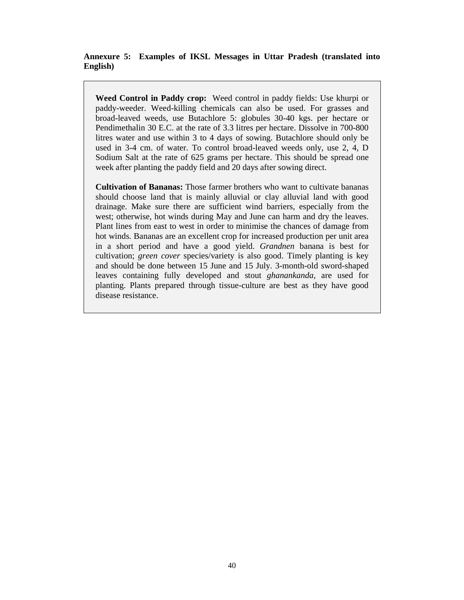# **Annexure 5: Examples of IKSL Messages in Uttar Pradesh (translated into English)**

**Weed Control in Paddy crop:** Weed control in paddy fields: Use khurpi or paddy-weeder. Weed-killing chemicals can also be used. For grasses and broad-leaved weeds, use Butachlore 5: globules 30-40 kgs. per hectare or Pendimethalin 30 E.C. at the rate of 3.3 litres per hectare. Dissolve in 700-800 litres water and use within 3 to 4 days of sowing. Butachlore should only be used in 3-4 cm. of water. To control broad-leaved weeds only, use 2, 4, D Sodium Salt at the rate of 625 grams per hectare. This should be spread one week after planting the paddy field and 20 days after sowing direct.

**Cultivation of Bananas:** Those farmer brothers who want to cultivate bananas should choose land that is mainly alluvial or clay alluvial land with good drainage. Make sure there are sufficient wind barriers, especially from the west; otherwise, hot winds during May and June can harm and dry the leaves. Plant lines from east to west in order to minimise the chances of damage from hot winds. Bananas are an excellent crop for increased production per unit area in a short period and have a good yield. *Grandnen* banana is best for cultivation; *green cover* species/variety is also good. Timely planting is key and should be done between 15 June and 15 July. 3-month-old sword-shaped leaves containing fully developed and stout *ghanankanda,* are used for planting. Plants prepared through tissue-culture are best as they have good disease resistance.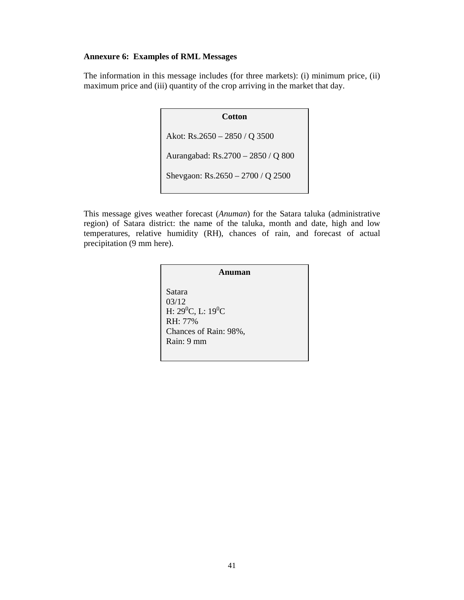# **Annexure 6: Examples of RML Messages**

The information in this message includes (for three markets): (i) minimum price, (ii) maximum price and (iii) quantity of the crop arriving in the market that day.

> **Cotton** Akot: Rs.2650 – 2850 / Q 3500 Aurangabad: Rs.2700 – 2850 / Q 800 Shevgaon: Rs.2650 – 2700 / Q 2500

This message gives weather forecast (*Anuman*) for the Satara taluka (administrative region) of Satara district: the name of the taluka, month and date, high and low temperatures, relative humidity (RH), chances of rain, and forecast of actual precipitation (9 mm here).

> **Anuman** Satara 03/12 H:  $29^0C$ , L:  $19^0C$ RH: 77% Chances of Rain: 98%, Rain: 9 mm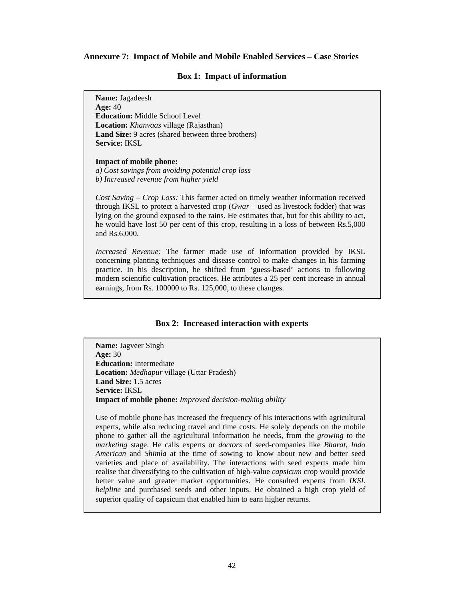#### **Annexure 7: Impact of Mobile and Mobile Enabled Services – Case Stories**

#### **Box 1: Impact of information**

**Name:** Jagadeesh **Age:** 40 **Education:** Middle School Level **Location:** *Khanvaas* village (Rajasthan) **Land Size:** 9 acres (shared between three brothers) **Service:** IKSL

**Impact of mobile phone:** *a) Cost savings from avoiding potential crop loss* 

*b) Increased revenue from higher yield* 

*Cost Saving – Crop Loss:* This farmer acted on timely weather information received through IKSL to protect a harvested crop (*Gwar* – used as livestock fodder) that was lying on the ground exposed to the rains. He estimates that, but for this ability to act, he would have lost 50 per cent of this crop, resulting in a loss of between Rs.5,000 and Rs.6,000.

*Increased Revenue:* The farmer made use of information provided by IKSL concerning planting techniques and disease control to make changes in his farming practice. In his description, he shifted from 'guess-based' actions to following modern scientific cultivation practices. He attributes a 25 per cent increase in annual earnings, from Rs. 100000 to Rs. 125,000, to these changes.

#### **Box 2: Increased interaction with experts**

**Name:** Jagveer Singh **Age:** 30 **Education:** Intermediate **Location:** *Medhapur* village (Uttar Pradesh) **Land Size:** 1.5 acres **Service:** IKSL **Impact of mobile phone:** *Improved decision-making ability* 

Use of mobile phone has increased the frequency of his interactions with agricultural experts, while also reducing travel and time costs. He solely depends on the mobile phone to gather all the agricultural information he needs, from the *growing* to the *marketing* stage. He calls experts or *doctors* of seed-companies like *Bharat*, *Indo American* and *Shimla* at the time of sowing to know about new and better seed varieties and place of availability. The interactions with seed experts made him realise that diversifying to the cultivation of high-value *capsicum* crop would provide better value and greater market opportunities. He consulted experts from *IKSL helpline* and purchased seeds and other inputs. He obtained a high crop yield of superior quality of capsicum that enabled him to earn higher returns.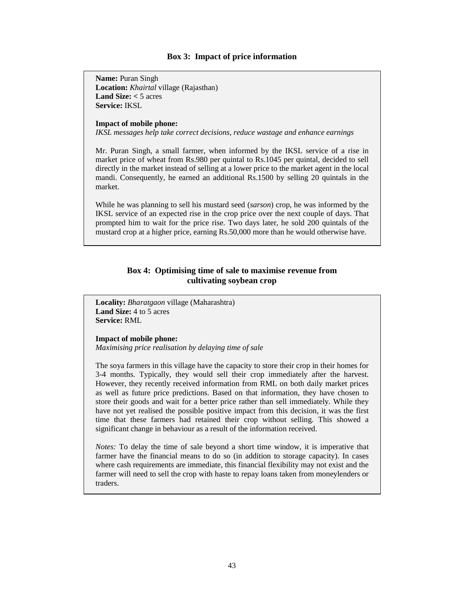#### **Box 3: Impact of price information**

**Name:** Puran Singh **Location:** *Khairtal* village (Rajasthan) **Land Size:**  $<$  5 acres **Service:** IKSL

#### **Impact of mobile phone:**

*IKSL messages help take correct decisions, reduce wastage and enhance earnings* 

Mr. Puran Singh, a small farmer, when informed by the IKSL service of a rise in market price of wheat from Rs.980 per quintal to Rs.1045 per quintal, decided to sell directly in the market instead of selling at a lower price to the market agent in the local mandi. Consequently, he earned an additional Rs.1500 by selling 20 quintals in the market.

While he was planning to sell his mustard seed (*sarson*) crop, he was informed by the IKSL service of an expected rise in the crop price over the next couple of days. That prompted him to wait for the price rise. Two days later, he sold 200 quintals of the mustard crop at a higher price, earning Rs.50,000 more than he would otherwise have.

# **Box 4: Optimising time of sale to maximise revenue from cultivating soybean crop**

**Locality:** *Bharatgaon* village (Maharashtra) **Land Size:** 4 to 5 acres **Service:** RML

**Impact of mobile phone:** *Maximising price realisation by delaying time of sale* 

The soya farmers in this village have the capacity to store their crop in their homes for 3-4 months. Typically, they would sell their crop immediately after the harvest. However, they recently received information from RML on both daily market prices as well as future price predictions. Based on that information, they have chosen to store their goods and wait for a better price rather than sell immediately. While they have not yet realised the possible positive impact from this decision, it was the first time that these farmers had retained their crop without selling. This showed a significant change in behaviour as a result of the information received.

*Notes:* To delay the time of sale beyond a short time window, it is imperative that farmer have the financial means to do so (in addition to storage capacity). In cases where cash requirements are immediate, this financial flexibility may not exist and the farmer will need to sell the crop with haste to repay loans taken from moneylenders or traders.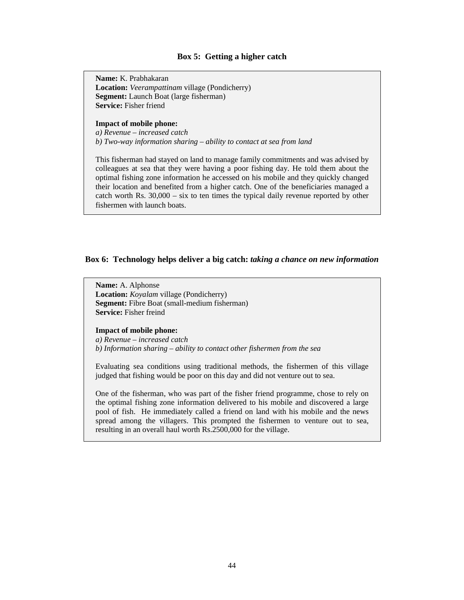#### **Box 5: Getting a higher catch**

**Name:** K. Prabhakaran **Location:** *Veerampattinam* village (Pondicherry) **Segment:** Launch Boat (large fisherman) **Service:** Fisher friend

#### **Impact of mobile phone:**

*a) Revenue – increased catch b) Two-way information sharing – ability to contact at sea from land* 

This fisherman had stayed on land to manage family commitments and was advised by colleagues at sea that they were having a poor fishing day. He told them about the optimal fishing zone information he accessed on his mobile and they quickly changed their location and benefited from a higher catch. One of the beneficiaries managed a catch worth Rs. 30,000 – six to ten times the typical daily revenue reported by other fishermen with launch boats.

## **Box 6: Technology helps deliver a big catch:** *taking a chance on new information*

**Name:** A. Alphonse **Location:** *Koyalam* village (Pondicherry) **Segment:** Fibre Boat (small-medium fisherman) **Service:** Fisher freind

#### **Impact of mobile phone:**

*a) Revenue – increased catch b) Information sharing – ability to contact other fishermen from the sea* 

Evaluating sea conditions using traditional methods, the fishermen of this village judged that fishing would be poor on this day and did not venture out to sea.

One of the fisherman, who was part of the fisher friend programme, chose to rely on the optimal fishing zone information delivered to his mobile and discovered a large pool of fish. He immediately called a friend on land with his mobile and the news spread among the villagers. This prompted the fishermen to venture out to sea, resulting in an overall haul worth Rs.2500,000 for the village.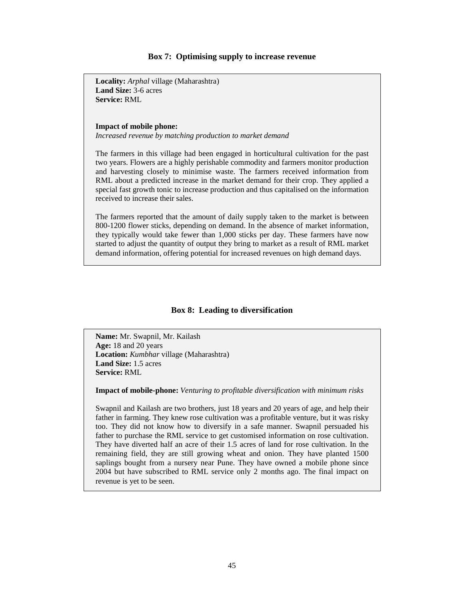#### **Box 7: Optimising supply to increase revenue**

**Locality:** *Arphal* village (Maharashtra) **Land Size:** 3-6 acres **Service:** RML

#### **Impact of mobile phone:**

*Increased revenue by matching production to market demand* 

The farmers in this village had been engaged in horticultural cultivation for the past two years. Flowers are a highly perishable commodity and farmers monitor production and harvesting closely to minimise waste. The farmers received information from RML about a predicted increase in the market demand for their crop. They applied a special fast growth tonic to increase production and thus capitalised on the information received to increase their sales.

The farmers reported that the amount of daily supply taken to the market is between 800-1200 flower sticks, depending on demand. In the absence of market information, they typically would take fewer than 1,000 sticks per day. These farmers have now started to adjust the quantity of output they bring to market as a result of RML market demand information, offering potential for increased revenues on high demand days.

#### **Box 8: Leading to diversification**

**Name:** Mr. Swapnil, Mr. Kailash **Age:** 18 and 20 years **Location:** *Kumbhar* village (Maharashtra) **Land Size:** 1.5 acres **Service:** RML

**Impact of mobile-phone:** *Venturing to profitable diversification with minimum risks* 

Swapnil and Kailash are two brothers, just 18 years and 20 years of age, and help their father in farming. They knew rose cultivation was a profitable venture, but it was risky too. They did not know how to diversify in a safe manner. Swapnil persuaded his father to purchase the RML service to get customised information on rose cultivation. They have diverted half an acre of their 1.5 acres of land for rose cultivation. In the remaining field, they are still growing wheat and onion. They have planted 1500 saplings bought from a nursery near Pune. They have owned a mobile phone since 2004 but have subscribed to RML service only 2 months ago. The final impact on revenue is yet to be seen.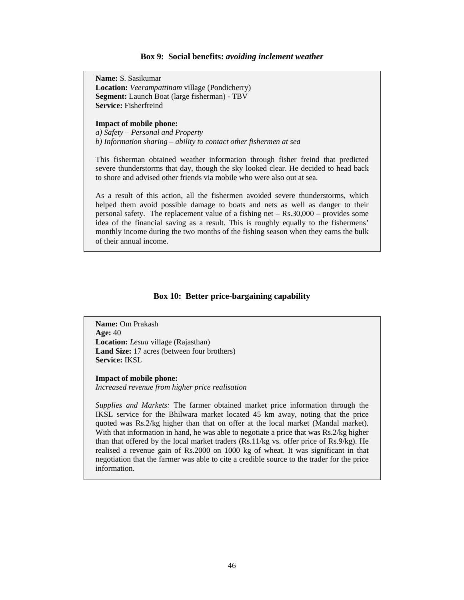#### **Box 9: Social benefits:** *avoiding inclement weather*

**Name:** S. Sasikumar **Location:** *Veerampattinam* village (Pondicherry) **Segment:** Launch Boat (large fisherman) - TBV **Service:** Fisherfreind

#### **Impact of mobile phone:**

*a) Safety – Personal and Property b) Information sharing – ability to contact other fishermen at sea* 

This fisherman obtained weather information through fisher freind that predicted severe thunderstorms that day, though the sky looked clear. He decided to head back to shore and advised other friends via mobile who were also out at sea.

As a result of this action, all the fishermen avoided severe thunderstorms, which helped them avoid possible damage to boats and nets as well as danger to their personal safety. The replacement value of a fishing net – Rs.30,000 – provides some idea of the financial saving as a result. This is roughly equally to the fishermens' monthly income during the two months of the fishing season when they earns the bulk of their annual income.

#### **Box 10: Better price-bargaining capability**

**Name:** Om Prakash **Age:** 40 **Location:** *Lesua* village (Rajasthan) **Land Size:** 17 acres (between four brothers) **Service:** IKSL

**Impact of mobile phone:**  *Increased revenue from higher price realisation* 

*Supplies and Markets:* The farmer obtained market price information through the IKSL service for the Bhilwara market located 45 km away, noting that the price quoted was Rs.2/kg higher than that on offer at the local market (Mandal market). With that information in hand, he was able to negotiate a price that was Rs.2/kg higher than that offered by the local market traders (Rs.11/kg vs. offer price of Rs.9/kg). He realised a revenue gain of Rs.2000 on 1000 kg of wheat. It was significant in that negotiation that the farmer was able to cite a credible source to the trader for the price information.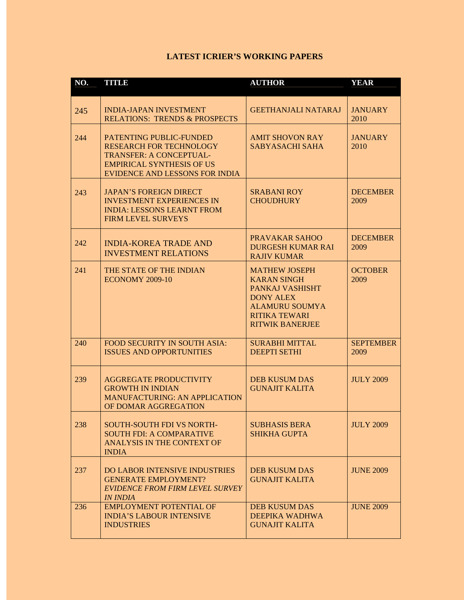# **LATEST ICRIER'S WORKING PAPERS**

| NO. | TITLE                                                                                                                                                             | <b>AUTHOR</b>                                                                                                                                                | <b>YEAR</b>              |
|-----|-------------------------------------------------------------------------------------------------------------------------------------------------------------------|--------------------------------------------------------------------------------------------------------------------------------------------------------------|--------------------------|
| 245 | <b>INDIA-JAPAN INVESTMENT</b><br><b>RELATIONS: TRENDS &amp; PROSPECTS</b>                                                                                         | <b>GEETHANJALI NATARAJ</b>                                                                                                                                   | <b>JANUARY</b><br>2010   |
| 244 | PATENTING PUBLIC-FUNDED<br><b>RESEARCH FOR TECHNOLOGY</b><br><b>TRANSFER: A CONCEPTUAL-</b><br><b>EMPIRICAL SYNTHESIS OF US</b><br>EVIDENCE AND LESSONS FOR INDIA | <b>AMIT SHOVON RAY</b><br><b>SABYASACHI SAHA</b>                                                                                                             | <b>JANUARY</b><br>2010   |
| 243 | <b>JAPAN'S FOREIGN DIRECT</b><br><b>INVESTMENT EXPERIENCES IN</b><br><b>INDIA: LESSONS LEARNT FROM</b><br><b>FIRM LEVEL SURVEYS</b>                               | <b>SRABANI ROY</b><br><b>CHOUDHURY</b>                                                                                                                       | <b>DECEMBER</b><br>2009  |
| 242 | <b>INDIA-KOREA TRADE AND</b><br><b>INVESTMENT RELATIONS</b>                                                                                                       | <b>PRAVAKAR SAHOO</b><br><b>DURGESH KUMAR RAI</b><br><b>RAJIV KUMAR</b>                                                                                      | <b>DECEMBER</b><br>2009  |
| 241 | THE STATE OF THE INDIAN<br><b>ECONOMY 2009-10</b>                                                                                                                 | <b>MATHEW JOSEPH</b><br><b>KARAN SINGH</b><br>PANKAJ VASHISHT<br><b>DONY ALEX</b><br><b>ALAMURU SOUMYA</b><br><b>RITIKA TEWARI</b><br><b>RITWIK BANERJEE</b> | <b>OCTOBER</b><br>2009   |
| 240 | FOOD SECURITY IN SOUTH ASIA:<br><b>ISSUES AND OPPORTUNITIES</b>                                                                                                   | <b>SURABHI MITTAL</b><br><b>DEEPTI SETHI</b>                                                                                                                 | <b>SEPTEMBER</b><br>2009 |
| 239 | <b>AGGREGATE PRODUCTIVITY</b><br><b>GROWTH IN INDIAN</b><br><b>MANUFACTURING: AN APPLICATION</b><br>OF DOMAR AGGREGATION                                          | <b>DEB KUSUM DAS</b><br><b>GUNAJIT KALITA</b>                                                                                                                | <b>JULY 2009</b>         |
| 238 | <b>SOUTH-SOUTH FDI VS NORTH-</b><br><b>SOUTH FDI: A COMPARATIVE</b><br><b>ANALYSIS IN THE CONTEXT OF</b><br><b>INDIA</b>                                          | <b>SUBHASIS BERA</b><br><b>SHIKHA GUPTA</b>                                                                                                                  | <b>JULY 2009</b>         |
| 237 | <b>DO LABOR INTENSIVE INDUSTRIES</b><br><b>GENERATE EMPLOYMENT?</b><br><b>EVIDENCE FROM FIRM LEVEL SURVEY</b><br><b>IN INDIA</b>                                  | <b>DEB KUSUM DAS</b><br><b>GUNAJIT KALITA</b>                                                                                                                | <b>JUNE 2009</b>         |
| 236 | <b>EMPLOYMENT POTENTIAL OF</b><br><b>INDIA'S LABOUR INTENSIVE</b><br><b>INDUSTRIES</b>                                                                            | <b>DEB KUSUM DAS</b><br>DEEPIKA WADHWA<br><b>GUNAJIT KALITA</b>                                                                                              | <b>JUNE 2009</b>         |